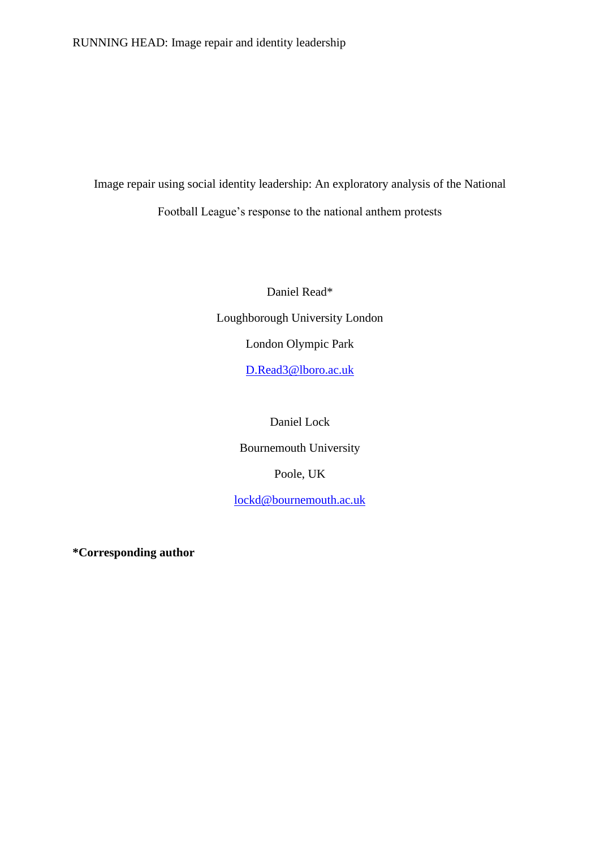Image repair using social identity leadership: An exploratory analysis of the National Football League's response to the national anthem protests

> Daniel Read\* Loughborough University London London Olympic Park [D.Read3@lboro.ac.uk](mailto:D.Read3@lboro.ac.uk)

> > Daniel Lock Bournemouth University Poole, UK [lockd@bournemouth.ac.uk](mailto:lockd@bournemouth.ac.uk)

**\*Corresponding author**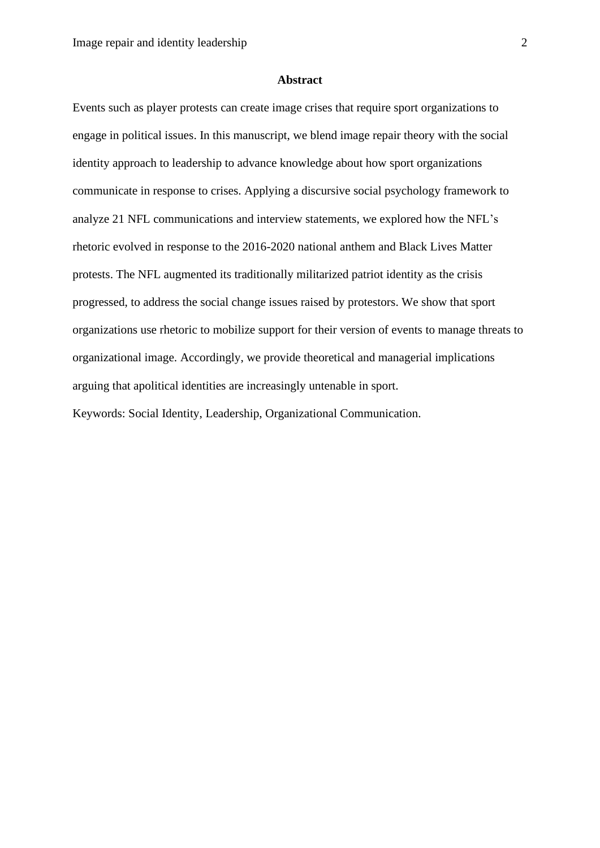#### **Abstract**

Events such as player protests can create image crises that require sport organizations to engage in political issues. In this manuscript, we blend image repair theory with the social identity approach to leadership to advance knowledge about how sport organizations communicate in response to crises. Applying a discursive social psychology framework to analyze 21 NFL communications and interview statements, we explored how the NFL's rhetoric evolved in response to the 2016-2020 national anthem and Black Lives Matter protests. The NFL augmented its traditionally militarized patriot identity as the crisis progressed, to address the social change issues raised by protestors. We show that sport organizations use rhetoric to mobilize support for their version of events to manage threats to organizational image. Accordingly, we provide theoretical and managerial implications arguing that apolitical identities are increasingly untenable in sport. Keywords: Social Identity, Leadership, Organizational Communication.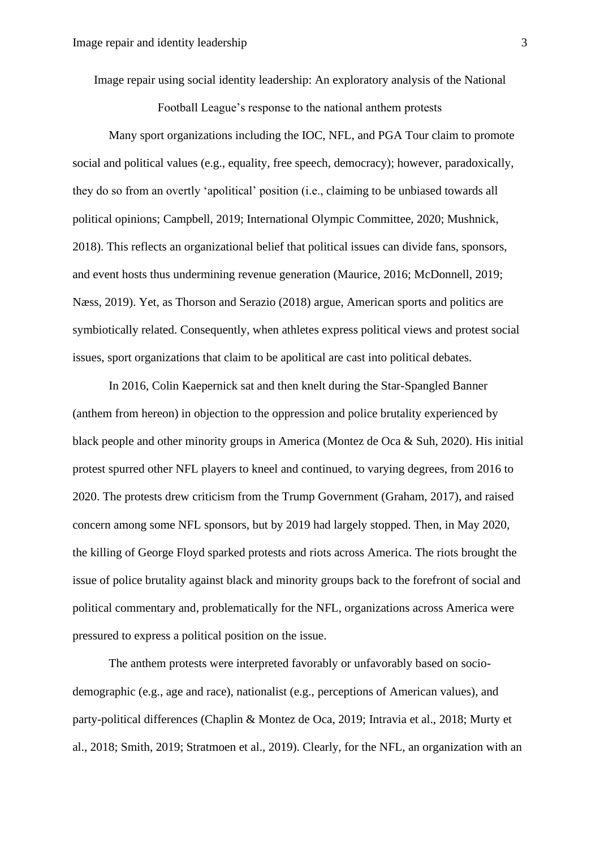Image repair using social identity leadership: An exploratory analysis of the National

Football League's response to the national anthem protests

Many sport organizations including the IOC, NFL, and PGA Tour claim to promote social and political values (e.g., equality, free speech, democracy); however, paradoxically, they do so from an overtly 'apolitical' position (i.e., claiming to be unbiased towards all political opinions; Campbell, 2019; International Olympic Committee, 2020; Mushnick, 2018). This reflects an organizational belief that political issues can divide fans, sponsors, and event hosts thus undermining revenue generation (Maurice, 2016; McDonnell, 2019; Næss, 2019). Yet, as Thorson and Serazio (2018) argue, American sports and politics are symbiotically related. Consequently, when athletes express political views and protest social issues, sport organizations that claim to be apolitical are cast into political debates.

In 2016, Colin Kaepernick sat and then knelt during the Star-Spangled Banner (anthem from hereon) in objection to the oppression and police brutality experienced by black people and other minority groups in America (Montez de Oca & Suh, 2020). His initial protest spurred other NFL players to kneel and continued, to varying degrees, from 2016 to 2020. The protests drew criticism from the Trump Government (Graham, 2017), and raised concern among some NFL sponsors, but by 2019 had largely stopped. Then, in May 2020, the killing of George Floyd sparked protests and riots across America. The riots brought the issue of police brutality against black and minority groups back to the forefront of social and political commentary and, problematically for the NFL, organizations across America were pressured to express a political position on the issue.

The anthem protests were interpreted favorably or unfavorably based on sociodemographic (e.g., age and race), nationalist (e.g., perceptions of American values), and party-political differences (Chaplin & Montez de Oca, 2019; Intravia et al., 2018; Murty et al., 2018; Smith, 2019; Stratmoen et al., 2019). Clearly, for the NFL, an organization with an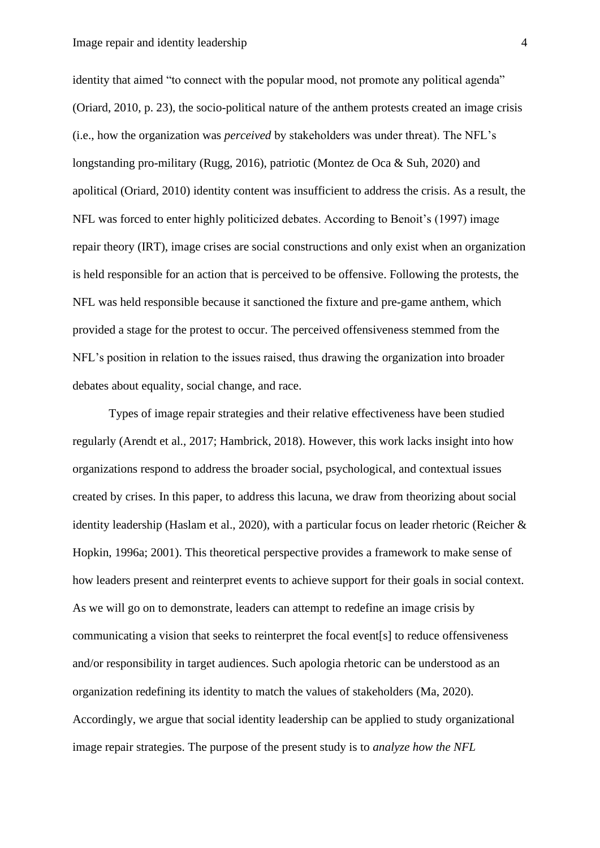identity that aimed "to connect with the popular mood, not promote any political agenda" (Oriard, 2010, p. 23), the socio-political nature of the anthem protests created an image crisis (i.e., how the organization was *perceived* by stakeholders was under threat). The NFL's longstanding pro-military (Rugg, 2016), patriotic (Montez de Oca & Suh, 2020) and apolitical (Oriard, 2010) identity content was insufficient to address the crisis. As a result, the NFL was forced to enter highly politicized debates. According to Benoit's (1997) image repair theory (IRT), image crises are social constructions and only exist when an organization is held responsible for an action that is perceived to be offensive. Following the protests, the NFL was held responsible because it sanctioned the fixture and pre-game anthem, which provided a stage for the protest to occur. The perceived offensiveness stemmed from the NFL's position in relation to the issues raised, thus drawing the organization into broader debates about equality, social change, and race.

Types of image repair strategies and their relative effectiveness have been studied regularly (Arendt et al., 2017; Hambrick, 2018). However, this work lacks insight into how organizations respond to address the broader social, psychological, and contextual issues created by crises. In this paper, to address this lacuna, we draw from theorizing about social identity leadership (Haslam et al., 2020), with a particular focus on leader rhetoric (Reicher & Hopkin, 1996a; 2001). This theoretical perspective provides a framework to make sense of how leaders present and reinterpret events to achieve support for their goals in social context. As we will go on to demonstrate, leaders can attempt to redefine an image crisis by communicating a vision that seeks to reinterpret the focal event[s] to reduce offensiveness and/or responsibility in target audiences. Such apologia rhetoric can be understood as an organization redefining its identity to match the values of stakeholders (Ma, 2020). Accordingly, we argue that social identity leadership can be applied to study organizational image repair strategies. The purpose of the present study is to *analyze how the NFL*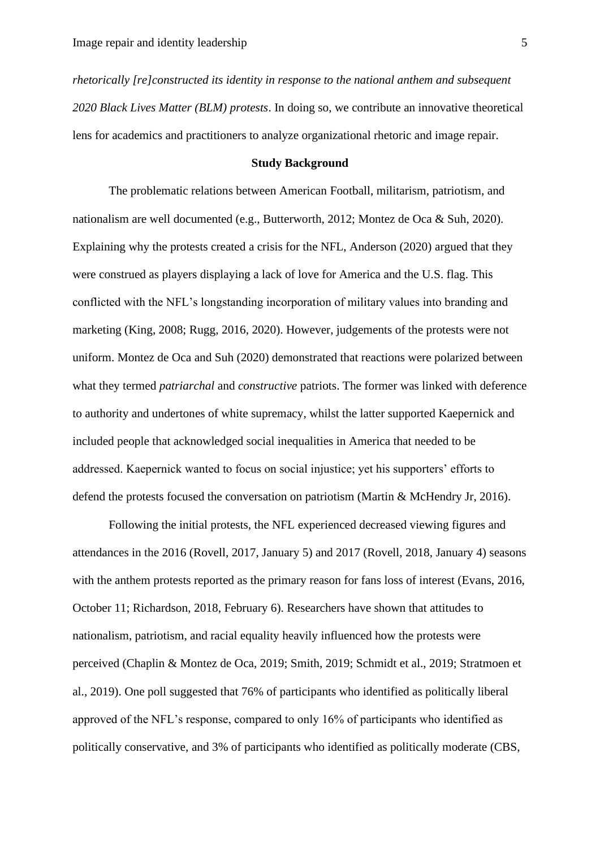*rhetorically [re]constructed its identity in response to the national anthem and subsequent 2020 Black Lives Matter (BLM) protests*. In doing so, we contribute an innovative theoretical lens for academics and practitioners to analyze organizational rhetoric and image repair.

# **Study Background**

The problematic relations between American Football, militarism, patriotism, and nationalism are well documented (e.g., Butterworth, 2012; Montez de Oca & Suh, 2020). Explaining why the protests created a crisis for the NFL, Anderson (2020) argued that they were construed as players displaying a lack of love for America and the U.S. flag. This conflicted with the NFL's longstanding incorporation of military values into branding and marketing (King, 2008; Rugg, 2016, 2020). However, judgements of the protests were not uniform. Montez de Oca and Suh (2020) demonstrated that reactions were polarized between what they termed *patriarchal* and *constructive* patriots. The former was linked with deference to authority and undertones of white supremacy, whilst the latter supported Kaepernick and included people that acknowledged social inequalities in America that needed to be addressed. Kaepernick wanted to focus on social injustice; yet his supporters' efforts to defend the protests focused the conversation on patriotism (Martin & McHendry Jr, 2016).

Following the initial protests, the NFL experienced decreased viewing figures and attendances in the 2016 (Rovell, 2017, January 5) and 2017 (Rovell, 2018, January 4) seasons with the anthem protests reported as the primary reason for fans loss of interest (Evans, 2016, October 11; Richardson, 2018, February 6). Researchers have shown that attitudes to nationalism, patriotism, and racial equality heavily influenced how the protests were perceived (Chaplin & Montez de Oca, 2019; Smith, 2019; Schmidt et al., 2019; Stratmoen et al., 2019). One poll suggested that 76% of participants who identified as politically liberal approved of the NFL's response, compared to only 16% of participants who identified as politically conservative, and 3% of participants who identified as politically moderate (CBS,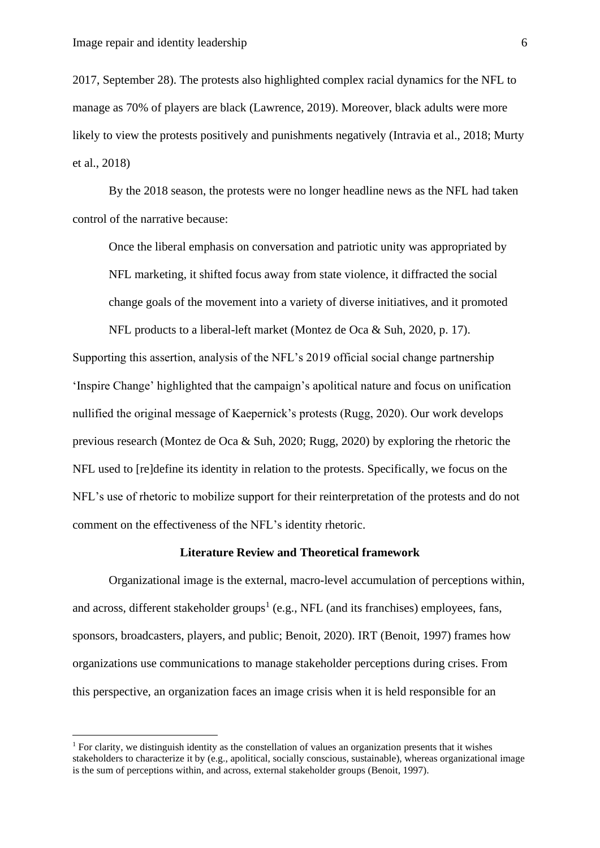2017, September 28). The protests also highlighted complex racial dynamics for the NFL to manage as 70% of players are black (Lawrence, 2019). Moreover, black adults were more likely to view the protests positively and punishments negatively (Intravia et al., 2018; Murty et al., 2018)

By the 2018 season, the protests were no longer headline news as the NFL had taken control of the narrative because:

Once the liberal emphasis on conversation and patriotic unity was appropriated by NFL marketing, it shifted focus away from state violence, it diffracted the social change goals of the movement into a variety of diverse initiatives, and it promoted

NFL products to a liberal-left market (Montez de Oca & Suh, 2020, p. 17). Supporting this assertion, analysis of the NFL's 2019 official social change partnership 'Inspire Change' highlighted that the campaign's apolitical nature and focus on unification nullified the original message of Kaepernick's protests (Rugg, 2020). Our work develops previous research (Montez de Oca & Suh, 2020; Rugg, 2020) by exploring the rhetoric the NFL used to [re]define its identity in relation to the protests. Specifically, we focus on the NFL's use of rhetoric to mobilize support for their reinterpretation of the protests and do not comment on the effectiveness of the NFL's identity rhetoric.

# **Literature Review and Theoretical framework**

Organizational image is the external, macro-level accumulation of perceptions within, and across, different stakeholder groups<sup>1</sup> (e.g., NFL (and its franchises) employees, fans, sponsors, broadcasters, players, and public; Benoit, 2020). IRT (Benoit, 1997) frames how organizations use communications to manage stakeholder perceptions during crises. From this perspective, an organization faces an image crisis when it is held responsible for an

<sup>&</sup>lt;sup>1</sup> For clarity, we distinguish identity as the constellation of values an organization presents that it wishes stakeholders to characterize it by (e.g., apolitical, socially conscious, sustainable), whereas organizational image is the sum of perceptions within, and across, external stakeholder groups (Benoit, 1997).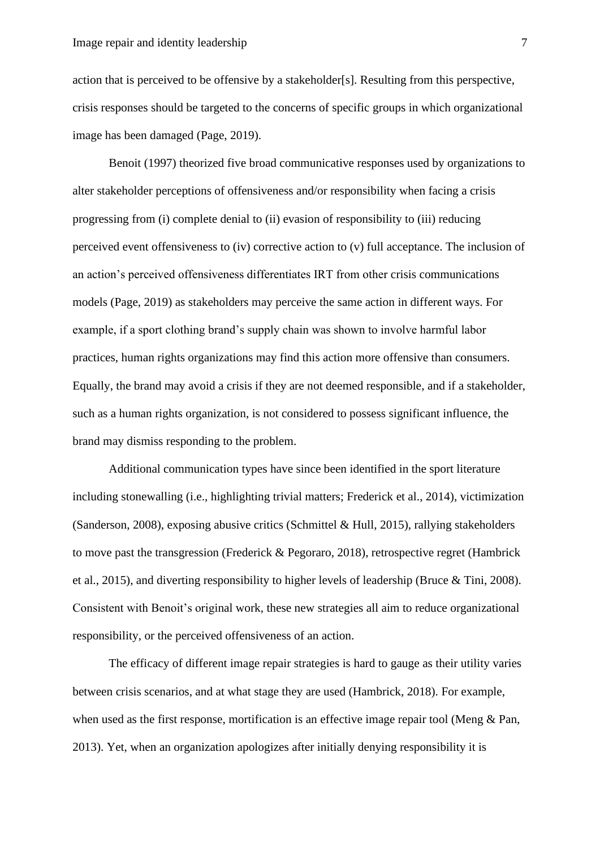action that is perceived to be offensive by a stakeholder[s]. Resulting from this perspective, crisis responses should be targeted to the concerns of specific groups in which organizational image has been damaged (Page, 2019).

Benoit (1997) theorized five broad communicative responses used by organizations to alter stakeholder perceptions of offensiveness and/or responsibility when facing a crisis progressing from (i) complete denial to (ii) evasion of responsibility to (iii) reducing perceived event offensiveness to (iv) corrective action to (v) full acceptance. The inclusion of an action's perceived offensiveness differentiates IRT from other crisis communications models (Page, 2019) as stakeholders may perceive the same action in different ways. For example, if a sport clothing brand's supply chain was shown to involve harmful labor practices, human rights organizations may find this action more offensive than consumers. Equally, the brand may avoid a crisis if they are not deemed responsible, and if a stakeholder, such as a human rights organization, is not considered to possess significant influence, the brand may dismiss responding to the problem.

Additional communication types have since been identified in the sport literature including stonewalling (i.e., highlighting trivial matters; Frederick et al., 2014), victimization (Sanderson, 2008), exposing abusive critics (Schmittel & Hull, 2015), rallying stakeholders to move past the transgression (Frederick & Pegoraro, 2018), retrospective regret (Hambrick et al., 2015), and diverting responsibility to higher levels of leadership (Bruce & Tini, 2008). Consistent with Benoit's original work, these new strategies all aim to reduce organizational responsibility, or the perceived offensiveness of an action.

The efficacy of different image repair strategies is hard to gauge as their utility varies between crisis scenarios, and at what stage they are used (Hambrick, 2018). For example, when used as the first response, mortification is an effective image repair tool (Meng & Pan, 2013). Yet, when an organization apologizes after initially denying responsibility it is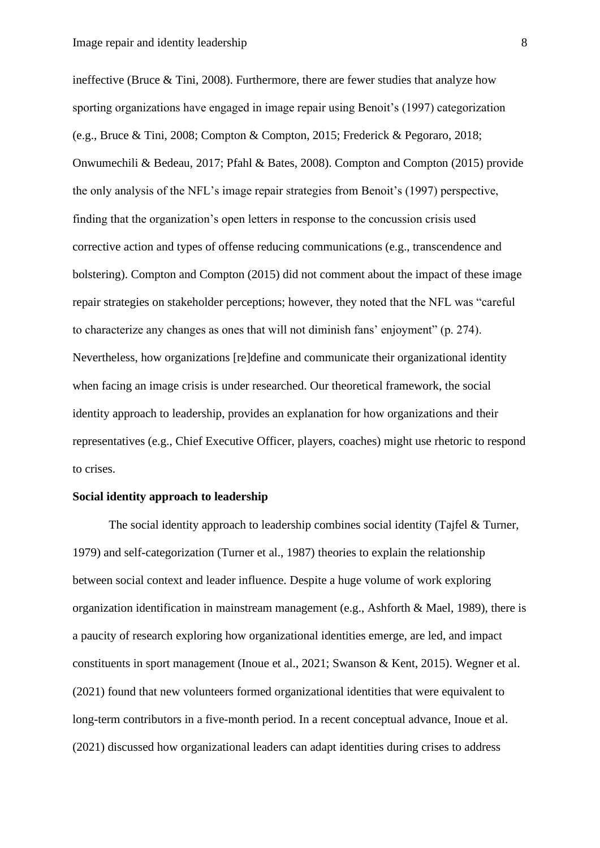ineffective (Bruce & Tini, 2008). Furthermore, there are fewer studies that analyze how sporting organizations have engaged in image repair using Benoit's (1997) categorization (e.g., Bruce & Tini, 2008; Compton & Compton, 2015; Frederick & Pegoraro, 2018; Onwumechili & Bedeau, 2017; Pfahl & Bates, 2008). Compton and Compton (2015) provide the only analysis of the NFL's image repair strategies from Benoit's (1997) perspective, finding that the organization's open letters in response to the concussion crisis used corrective action and types of offense reducing communications (e.g., transcendence and bolstering). Compton and Compton (2015) did not comment about the impact of these image repair strategies on stakeholder perceptions; however, they noted that the NFL was "careful to characterize any changes as ones that will not diminish fans' enjoyment" (p. 274). Nevertheless, how organizations [re]define and communicate their organizational identity when facing an image crisis is under researched. Our theoretical framework, the social identity approach to leadership, provides an explanation for how organizations and their representatives (e.g., Chief Executive Officer, players, coaches) might use rhetoric to respond to crises.

### **Social identity approach to leadership**

The social identity approach to leadership combines social identity (Tajfel & Turner, 1979) and self-categorization (Turner et al., 1987) theories to explain the relationship between social context and leader influence. Despite a huge volume of work exploring organization identification in mainstream management (e.g., Ashforth & Mael, 1989), there is a paucity of research exploring how organizational identities emerge, are led, and impact constituents in sport management (Inoue et al., 2021; Swanson & Kent, 2015). Wegner et al. (2021) found that new volunteers formed organizational identities that were equivalent to long-term contributors in a five-month period. In a recent conceptual advance, Inoue et al. (2021) discussed how organizational leaders can adapt identities during crises to address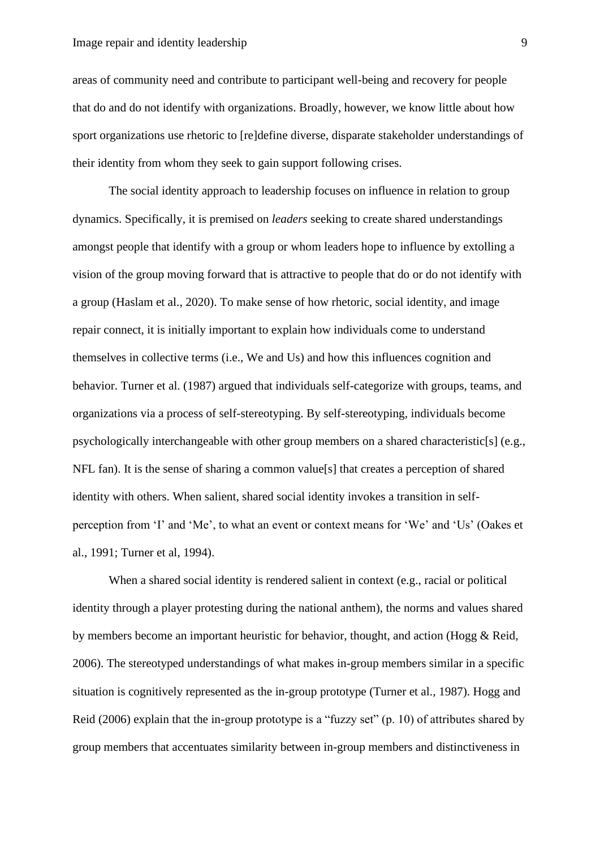# Image repair and identity leadership 9

areas of community need and contribute to participant well-being and recovery for people that do and do not identify with organizations. Broadly, however, we know little about how sport organizations use rhetoric to [re]define diverse, disparate stakeholder understandings of their identity from whom they seek to gain support following crises.

The social identity approach to leadership focuses on influence in relation to group dynamics. Specifically, it is premised on *leaders* seeking to create shared understandings amongst people that identify with a group or whom leaders hope to influence by extolling a vision of the group moving forward that is attractive to people that do or do not identify with a group (Haslam et al., 2020). To make sense of how rhetoric, social identity, and image repair connect, it is initially important to explain how individuals come to understand themselves in collective terms (i.e., We and Us) and how this influences cognition and behavior. Turner et al. (1987) argued that individuals self-categorize with groups, teams, and organizations via a process of self-stereotyping. By self-stereotyping, individuals become psychologically interchangeable with other group members on a shared characteristic[s] (e.g., NFL fan). It is the sense of sharing a common value[s] that creates a perception of shared identity with others. When salient, shared social identity invokes a transition in selfperception from 'I' and 'Me', to what an event or context means for 'We' and 'Us' (Oakes et al., 1991; Turner et al, 1994).

When a shared social identity is rendered salient in context (e.g., racial or political identity through a player protesting during the national anthem), the norms and values shared by members become an important heuristic for behavior, thought, and action (Hogg & Reid, 2006). The stereotyped understandings of what makes in-group members similar in a specific situation is cognitively represented as the in-group prototype (Turner et al., 1987). Hogg and Reid (2006) explain that the in-group prototype is a "fuzzy set" (p. 10) of attributes shared by group members that accentuates similarity between in-group members and distinctiveness in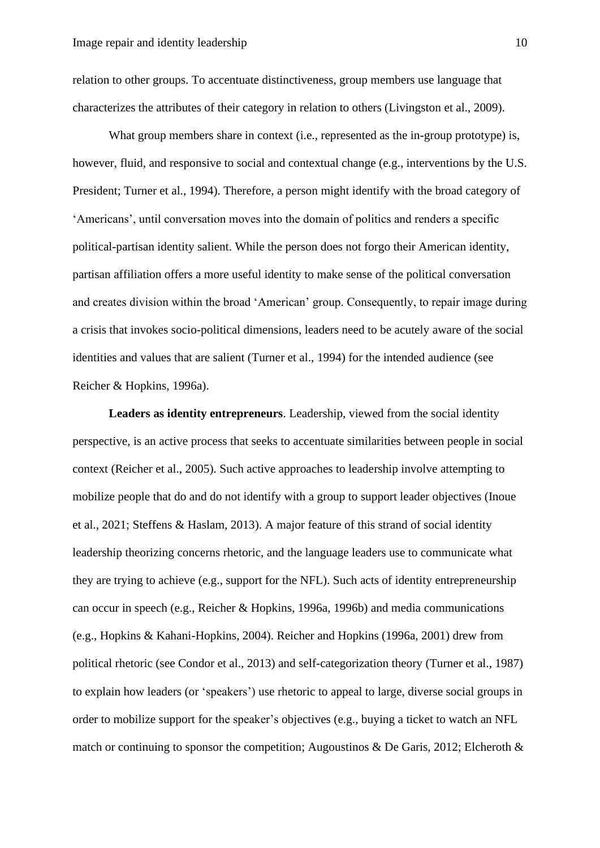relation to other groups. To accentuate distinctiveness, group members use language that characterizes the attributes of their category in relation to others (Livingston et al., 2009).

What group members share in context (i.e., represented as the in-group prototype) is, however, fluid, and responsive to social and contextual change (e.g., interventions by the U.S. President; Turner et al., 1994). Therefore, a person might identify with the broad category of 'Americans', until conversation moves into the domain of politics and renders a specific political-partisan identity salient. While the person does not forgo their American identity, partisan affiliation offers a more useful identity to make sense of the political conversation and creates division within the broad 'American' group. Consequently, to repair image during a crisis that invokes socio-political dimensions, leaders need to be acutely aware of the social identities and values that are salient (Turner et al., 1994) for the intended audience (see Reicher & Hopkins, 1996a).

**Leaders as identity entrepreneurs**. Leadership, viewed from the social identity perspective, is an active process that seeks to accentuate similarities between people in social context (Reicher et al., 2005). Such active approaches to leadership involve attempting to mobilize people that do and do not identify with a group to support leader objectives (Inoue et al., 2021; Steffens & Haslam, 2013). A major feature of this strand of social identity leadership theorizing concerns rhetoric, and the language leaders use to communicate what they are trying to achieve (e.g., support for the NFL). Such acts of identity entrepreneurship can occur in speech (e.g., Reicher & Hopkins, 1996a, 1996b) and media communications (e.g., Hopkins & Kahani-Hopkins, 2004). Reicher and Hopkins (1996a, 2001) drew from political rhetoric (see Condor et al., 2013) and self-categorization theory (Turner et al., 1987) to explain how leaders (or 'speakers') use rhetoric to appeal to large, diverse social groups in order to mobilize support for the speaker's objectives (e.g., buying a ticket to watch an NFL match or continuing to sponsor the competition; Augoustinos & De Garis, 2012; Elcheroth  $\&$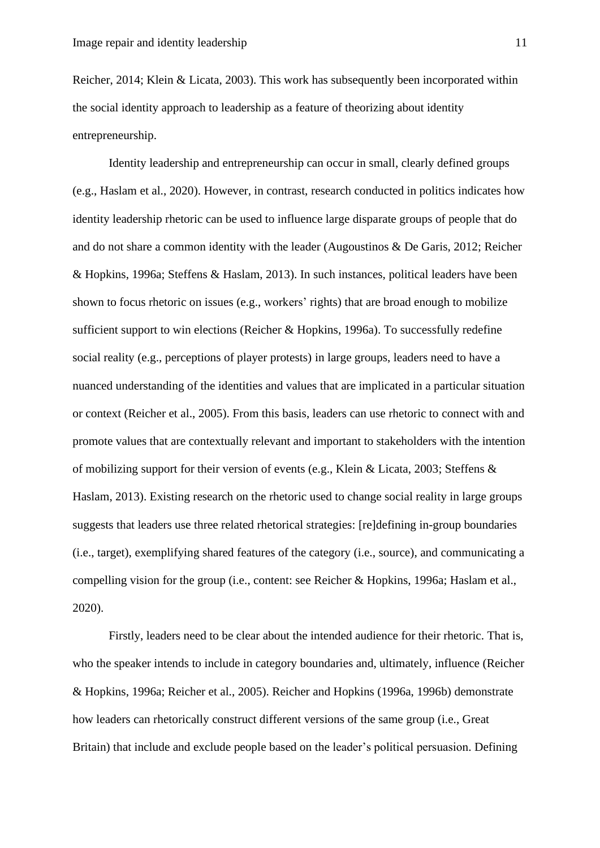Reicher, 2014; Klein & Licata, 2003). This work has subsequently been incorporated within the social identity approach to leadership as a feature of theorizing about identity entrepreneurship.

Identity leadership and entrepreneurship can occur in small, clearly defined groups (e.g., Haslam et al., 2020). However, in contrast, research conducted in politics indicates how identity leadership rhetoric can be used to influence large disparate groups of people that do and do not share a common identity with the leader (Augoustinos & De Garis, 2012; Reicher & Hopkins, 1996a; Steffens & Haslam, 2013). In such instances, political leaders have been shown to focus rhetoric on issues (e.g., workers' rights) that are broad enough to mobilize sufficient support to win elections (Reicher & Hopkins, 1996a). To successfully redefine social reality (e.g., perceptions of player protests) in large groups, leaders need to have a nuanced understanding of the identities and values that are implicated in a particular situation or context (Reicher et al., 2005). From this basis, leaders can use rhetoric to connect with and promote values that are contextually relevant and important to stakeholders with the intention of mobilizing support for their version of events (e.g., Klein & Licata, 2003; Steffens & Haslam, 2013). Existing research on the rhetoric used to change social reality in large groups suggests that leaders use three related rhetorical strategies: [re]defining in-group boundaries (i.e., target), exemplifying shared features of the category (i.e., source), and communicating a compelling vision for the group (i.e., content: see Reicher & Hopkins, 1996a; Haslam et al., 2020).

Firstly, leaders need to be clear about the intended audience for their rhetoric. That is, who the speaker intends to include in category boundaries and, ultimately, influence (Reicher & Hopkins, 1996a; Reicher et al., 2005). Reicher and Hopkins (1996a, 1996b) demonstrate how leaders can rhetorically construct different versions of the same group (i.e., Great Britain) that include and exclude people based on the leader's political persuasion. Defining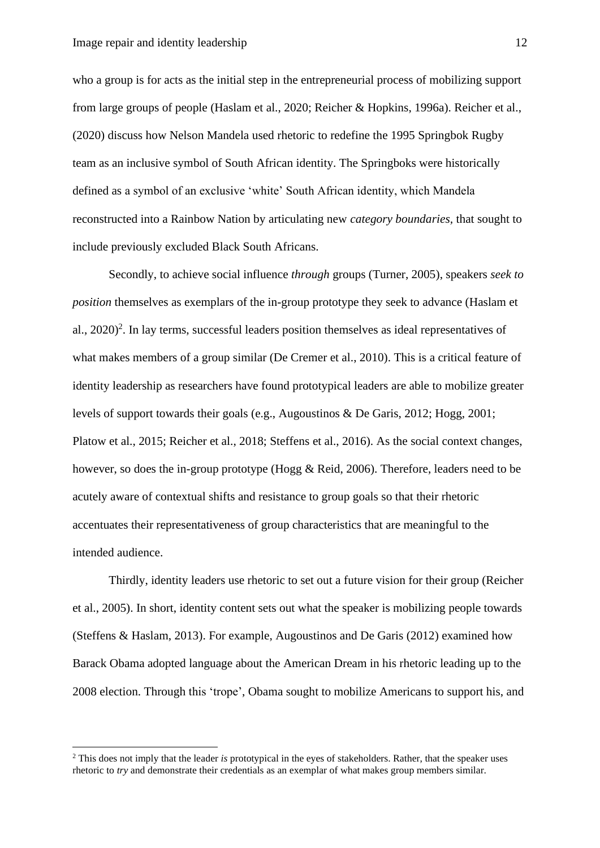who a group is for acts as the initial step in the entrepreneurial process of mobilizing support from large groups of people (Haslam et al., 2020; Reicher & Hopkins, 1996a). Reicher et al., (2020) discuss how Nelson Mandela used rhetoric to redefine the 1995 Springbok Rugby team as an inclusive symbol of South African identity. The Springboks were historically defined as a symbol of an exclusive 'white' South African identity, which Mandela reconstructed into a Rainbow Nation by articulating new *category boundaries,* that sought to include previously excluded Black South Africans*.* 

Secondly, to achieve social influence *through* groups (Turner, 2005), speakers *seek to position* themselves as exemplars of the in-group prototype they seek to advance (Haslam et al., 2020)<sup>2</sup>. In lay terms, successful leaders position themselves as ideal representatives of what makes members of a group similar (De Cremer et al., 2010). This is a critical feature of identity leadership as researchers have found prototypical leaders are able to mobilize greater levels of support towards their goals (e.g., Augoustinos & De Garis, 2012; Hogg, 2001; Platow et al., 2015; Reicher et al., 2018; Steffens et al., 2016). As the social context changes, however, so does the in-group prototype (Hogg & Reid, 2006). Therefore, leaders need to be acutely aware of contextual shifts and resistance to group goals so that their rhetoric accentuates their representativeness of group characteristics that are meaningful to the intended audience.

Thirdly, identity leaders use rhetoric to set out a future vision for their group (Reicher et al., 2005). In short, identity content sets out what the speaker is mobilizing people towards (Steffens & Haslam, 2013). For example, Augoustinos and De Garis (2012) examined how Barack Obama adopted language about the American Dream in his rhetoric leading up to the 2008 election. Through this 'trope', Obama sought to mobilize Americans to support his, and

<sup>2</sup> This does not imply that the leader *is* prototypical in the eyes of stakeholders. Rather, that the speaker uses rhetoric to *try* and demonstrate their credentials as an exemplar of what makes group members similar.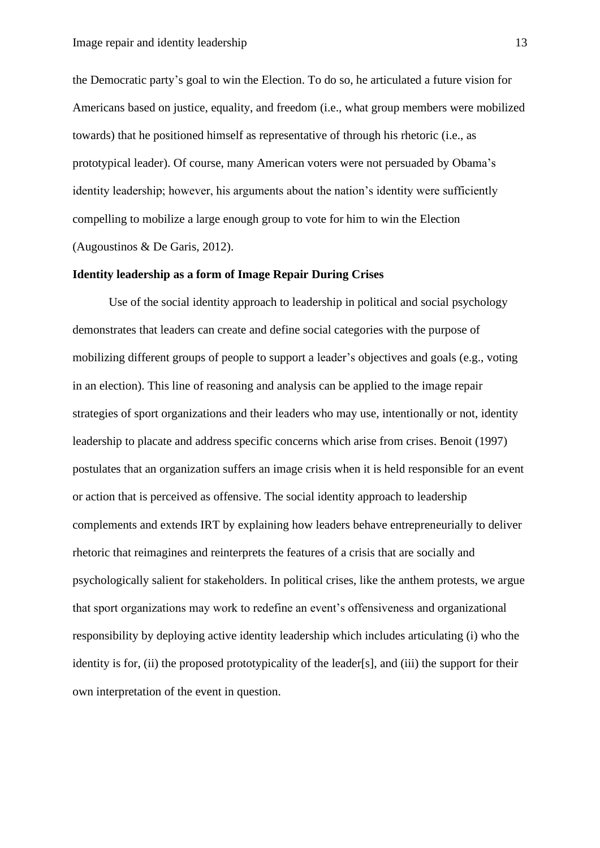the Democratic party's goal to win the Election. To do so, he articulated a future vision for Americans based on justice, equality, and freedom (i.e., what group members were mobilized towards) that he positioned himself as representative of through his rhetoric (i.e., as prototypical leader). Of course, many American voters were not persuaded by Obama's identity leadership; however, his arguments about the nation's identity were sufficiently compelling to mobilize a large enough group to vote for him to win the Election (Augoustinos & De Garis, 2012).

# **Identity leadership as a form of Image Repair During Crises**

Use of the social identity approach to leadership in political and social psychology demonstrates that leaders can create and define social categories with the purpose of mobilizing different groups of people to support a leader's objectives and goals (e.g., voting in an election). This line of reasoning and analysis can be applied to the image repair strategies of sport organizations and their leaders who may use, intentionally or not, identity leadership to placate and address specific concerns which arise from crises. Benoit (1997) postulates that an organization suffers an image crisis when it is held responsible for an event or action that is perceived as offensive. The social identity approach to leadership complements and extends IRT by explaining how leaders behave entrepreneurially to deliver rhetoric that reimagines and reinterprets the features of a crisis that are socially and psychologically salient for stakeholders. In political crises, like the anthem protests, we argue that sport organizations may work to redefine an event's offensiveness and organizational responsibility by deploying active identity leadership which includes articulating (i) who the identity is for, (ii) the proposed prototypicality of the leader[s], and (iii) the support for their own interpretation of the event in question.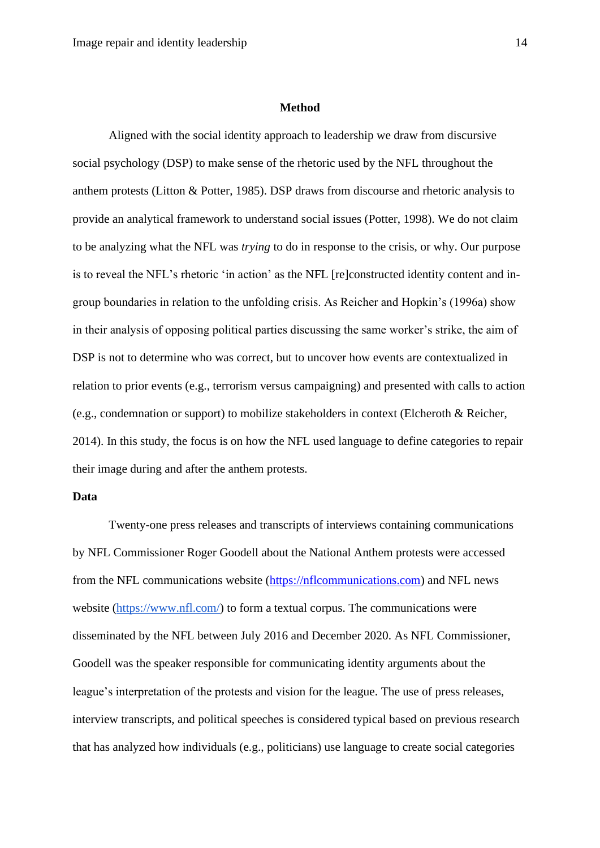Aligned with the social identity approach to leadership we draw from discursive social psychology (DSP) to make sense of the rhetoric used by the NFL throughout the anthem protests (Litton & Potter, 1985). DSP draws from discourse and rhetoric analysis to provide an analytical framework to understand social issues (Potter, 1998). We do not claim to be analyzing what the NFL was *trying* to do in response to the crisis, or why. Our purpose is to reveal the NFL's rhetoric 'in action' as the NFL [re]constructed identity content and ingroup boundaries in relation to the unfolding crisis. As Reicher and Hopkin's (1996a) show in their analysis of opposing political parties discussing the same worker's strike, the aim of DSP is not to determine who was correct, but to uncover how events are contextualized in relation to prior events (e.g., terrorism versus campaigning) and presented with calls to action (e.g., condemnation or support) to mobilize stakeholders in context (Elcheroth & Reicher, 2014). In this study, the focus is on how the NFL used language to define categories to repair their image during and after the anthem protests.

# **Data**

Twenty-one press releases and transcripts of interviews containing communications by NFL Commissioner Roger Goodell about the National Anthem protests were accessed from the NFL communications website [\(https://nflcommunications.com\)](https://nflcommunications.com/) and NFL news website [\(https://www.nfl.com/\)](https://www.nfl.com/) to form a textual corpus. The communications were disseminated by the NFL between July 2016 and December 2020. As NFL Commissioner, Goodell was the speaker responsible for communicating identity arguments about the league's interpretation of the protests and vision for the league. The use of press releases, interview transcripts, and political speeches is considered typical based on previous research that has analyzed how individuals (e.g., politicians) use language to create social categories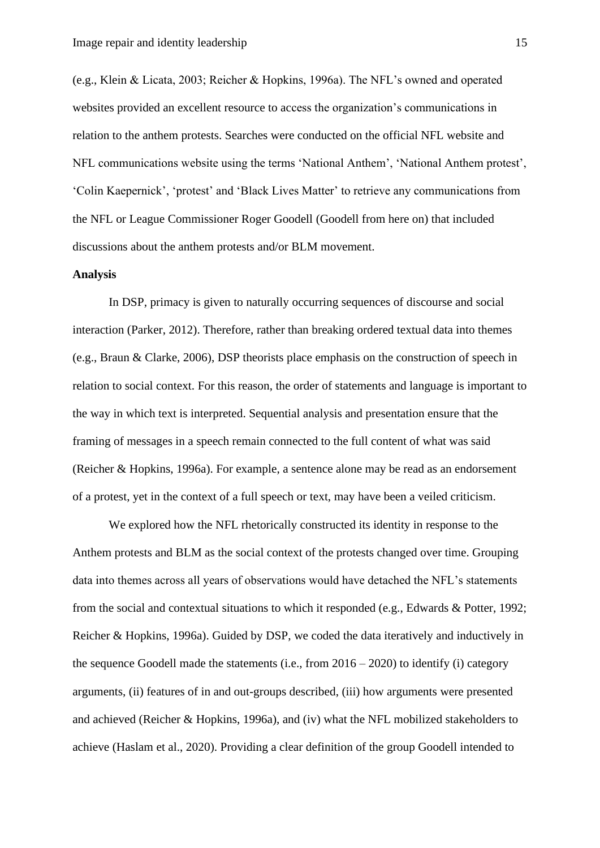(e.g., Klein & Licata, 2003; Reicher & Hopkins, 1996a). The NFL's owned and operated websites provided an excellent resource to access the organization's communications in relation to the anthem protests. Searches were conducted on the official NFL website and NFL communications website using the terms 'National Anthem', 'National Anthem protest', 'Colin Kaepernick', 'protest' and 'Black Lives Matter' to retrieve any communications from the NFL or League Commissioner Roger Goodell (Goodell from here on) that included discussions about the anthem protests and/or BLM movement.

#### **Analysis**

In DSP, primacy is given to naturally occurring sequences of discourse and social interaction (Parker, 2012). Therefore, rather than breaking ordered textual data into themes (e.g., Braun & Clarke, 2006), DSP theorists place emphasis on the construction of speech in relation to social context. For this reason, the order of statements and language is important to the way in which text is interpreted. Sequential analysis and presentation ensure that the framing of messages in a speech remain connected to the full content of what was said (Reicher & Hopkins, 1996a). For example, a sentence alone may be read as an endorsement of a protest, yet in the context of a full speech or text, may have been a veiled criticism.

We explored how the NFL rhetorically constructed its identity in response to the Anthem protests and BLM as the social context of the protests changed over time. Grouping data into themes across all years of observations would have detached the NFL's statements from the social and contextual situations to which it responded (e.g., Edwards & Potter, 1992; Reicher & Hopkins, 1996a). Guided by DSP, we coded the data iteratively and inductively in the sequence Goodell made the statements (i.e., from  $2016 - 2020$ ) to identify (i) category arguments, (ii) features of in and out-groups described, (iii) how arguments were presented and achieved (Reicher & Hopkins, 1996a), and (iv) what the NFL mobilized stakeholders to achieve (Haslam et al., 2020). Providing a clear definition of the group Goodell intended to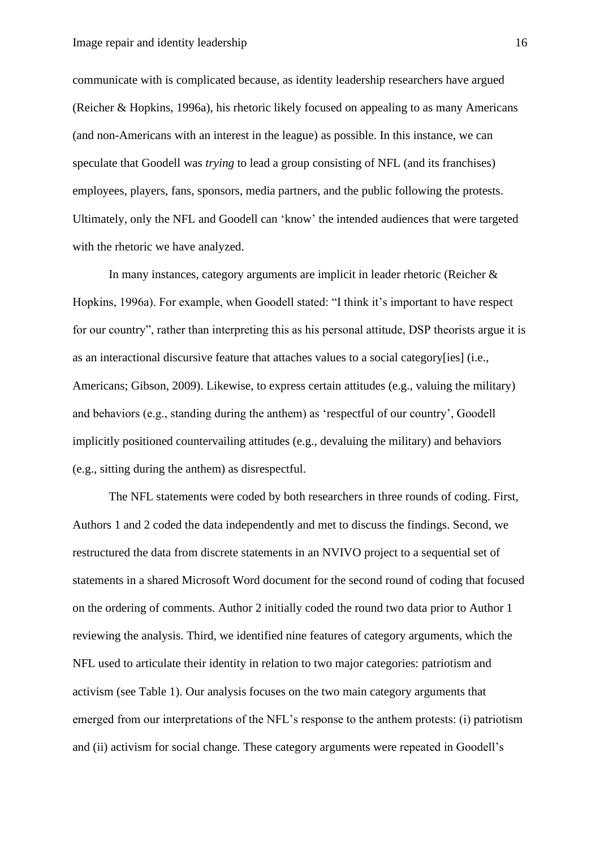communicate with is complicated because, as identity leadership researchers have argued (Reicher & Hopkins, 1996a), his rhetoric likely focused on appealing to as many Americans (and non-Americans with an interest in the league) as possible. In this instance, we can speculate that Goodell was *trying* to lead a group consisting of NFL (and its franchises) employees, players, fans, sponsors, media partners, and the public following the protests. Ultimately, only the NFL and Goodell can 'know' the intended audiences that were targeted with the rhetoric we have analyzed.

In many instances, category arguments are implicit in leader rhetoric (Reicher & Hopkins, 1996a). For example, when Goodell stated: "I think it's important to have respect for our country", rather than interpreting this as his personal attitude, DSP theorists argue it is as an interactional discursive feature that attaches values to a social category[ies] (i.e., Americans; Gibson, 2009). Likewise, to express certain attitudes (e.g., valuing the military) and behaviors (e.g., standing during the anthem) as 'respectful of our country', Goodell implicitly positioned countervailing attitudes (e.g., devaluing the military) and behaviors (e.g., sitting during the anthem) as disrespectful.

The NFL statements were coded by both researchers in three rounds of coding. First, Authors 1 and 2 coded the data independently and met to discuss the findings. Second, we restructured the data from discrete statements in an NVIVO project to a sequential set of statements in a shared Microsoft Word document for the second round of coding that focused on the ordering of comments. Author 2 initially coded the round two data prior to Author 1 reviewing the analysis. Third, we identified nine features of category arguments, which the NFL used to articulate their identity in relation to two major categories: patriotism and activism (see Table 1). Our analysis focuses on the two main category arguments that emerged from our interpretations of the NFL's response to the anthem protests: (i) patriotism and (ii) activism for social change. These category arguments were repeated in Goodell's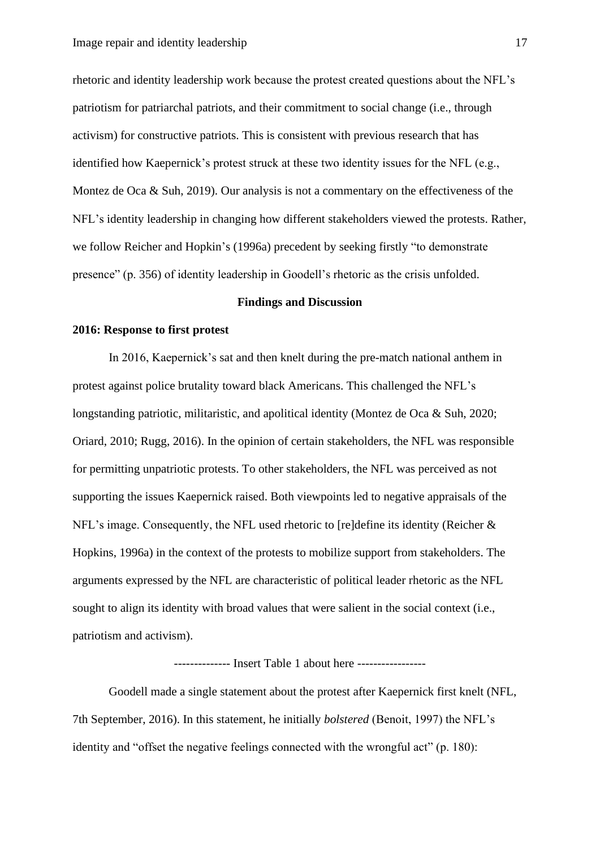rhetoric and identity leadership work because the protest created questions about the NFL's patriotism for patriarchal patriots, and their commitment to social change (i.e., through activism) for constructive patriots. This is consistent with previous research that has identified how Kaepernick's protest struck at these two identity issues for the NFL (e.g., Montez de Oca & Suh, 2019). Our analysis is not a commentary on the effectiveness of the NFL's identity leadership in changing how different stakeholders viewed the protests. Rather, we follow Reicher and Hopkin's (1996a) precedent by seeking firstly "to demonstrate presence" (p. 356) of identity leadership in Goodell's rhetoric as the crisis unfolded.

# **Findings and Discussion**

### **2016: Response to first protest**

In 2016, Kaepernick's sat and then knelt during the pre-match national anthem in protest against police brutality toward black Americans. This challenged the NFL's longstanding patriotic, militaristic, and apolitical identity (Montez de Oca & Suh, 2020; Oriard, 2010; Rugg, 2016). In the opinion of certain stakeholders, the NFL was responsible for permitting unpatriotic protests. To other stakeholders, the NFL was perceived as not supporting the issues Kaepernick raised. Both viewpoints led to negative appraisals of the NFL's image. Consequently, the NFL used rhetoric to [re]define its identity (Reicher & Hopkins, 1996a) in the context of the protests to mobilize support from stakeholders. The arguments expressed by the NFL are characteristic of political leader rhetoric as the NFL sought to align its identity with broad values that were salient in the social context (i.e., patriotism and activism).

-------------- Insert Table 1 about here -----------------

Goodell made a single statement about the protest after Kaepernick first knelt (NFL, 7th September, 2016). In this statement, he initially *bolstered* (Benoit, 1997) the NFL's identity and "offset the negative feelings connected with the wrongful act" (p. 180):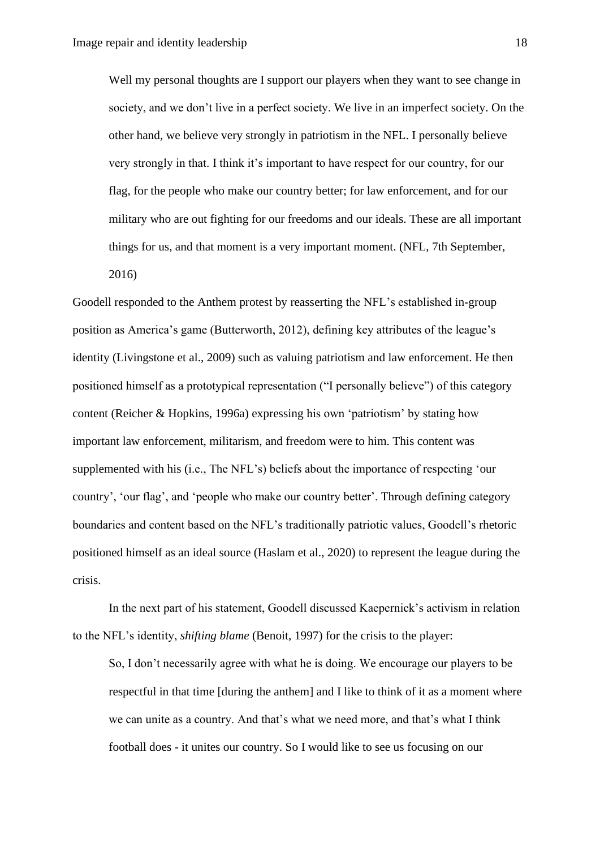Well my personal thoughts are I support our players when they want to see change in society, and we don't live in a perfect society. We live in an imperfect society. On the other hand, we believe very strongly in patriotism in the NFL. I personally believe very strongly in that. I think it's important to have respect for our country, for our flag, for the people who make our country better; for law enforcement, and for our military who are out fighting for our freedoms and our ideals. These are all important things for us, and that moment is a very important moment. (NFL, 7th September, 2016)

Goodell responded to the Anthem protest by reasserting the NFL's established in-group position as America's game (Butterworth, 2012), defining key attributes of the league's identity (Livingstone et al., 2009) such as valuing patriotism and law enforcement. He then positioned himself as a prototypical representation ("I personally believe") of this category content (Reicher & Hopkins, 1996a) expressing his own 'patriotism' by stating how important law enforcement, militarism, and freedom were to him. This content was supplemented with his (i.e., The NFL's) beliefs about the importance of respecting 'our country', 'our flag', and 'people who make our country better'. Through defining category boundaries and content based on the NFL's traditionally patriotic values, Goodell's rhetoric positioned himself as an ideal source (Haslam et al., 2020) to represent the league during the crisis.

In the next part of his statement, Goodell discussed Kaepernick's activism in relation to the NFL's identity, *shifting blame* (Benoit, 1997) for the crisis to the player:

So, I don't necessarily agree with what he is doing. We encourage our players to be respectful in that time [during the anthem] and I like to think of it as a moment where we can unite as a country. And that's what we need more, and that's what I think football does - it unites our country. So I would like to see us focusing on our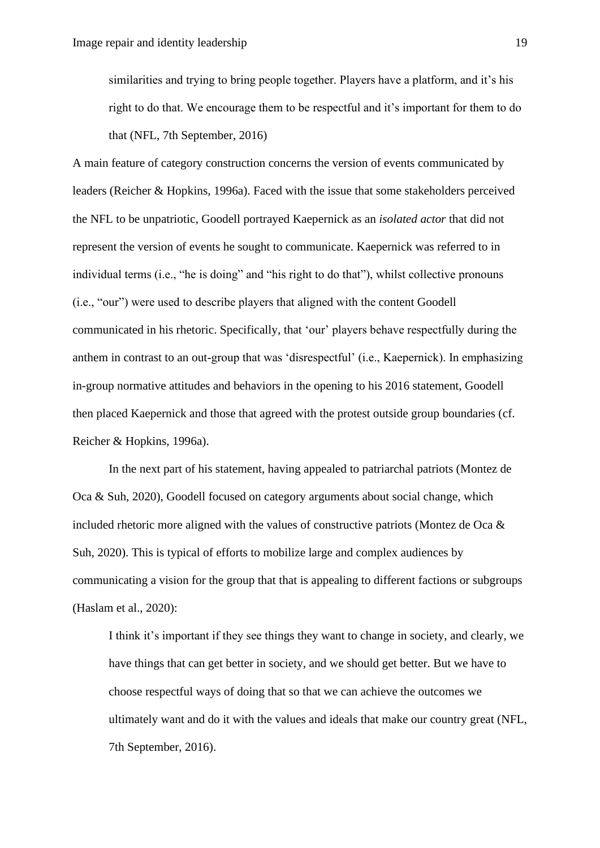similarities and trying to bring people together. Players have a platform, and it's his right to do that. We encourage them to be respectful and it's important for them to do that (NFL, 7th September, 2016)

A main feature of category construction concerns the version of events communicated by leaders (Reicher & Hopkins, 1996a). Faced with the issue that some stakeholders perceived the NFL to be unpatriotic, Goodell portrayed Kaepernick as an *isolated actor* that did not represent the version of events he sought to communicate. Kaepernick was referred to in individual terms (i.e., "he is doing" and "his right to do that"), whilst collective pronouns (i.e., "our") were used to describe players that aligned with the content Goodell communicated in his rhetoric. Specifically, that 'our' players behave respectfully during the anthem in contrast to an out-group that was 'disrespectful' (i.e., Kaepernick). In emphasizing in-group normative attitudes and behaviors in the opening to his 2016 statement, Goodell then placed Kaepernick and those that agreed with the protest outside group boundaries (cf. Reicher & Hopkins, 1996a).

In the next part of his statement, having appealed to patriarchal patriots (Montez de Oca & Suh, 2020), Goodell focused on category arguments about social change, which included rhetoric more aligned with the values of constructive patriots (Montez de Oca & Suh, 2020). This is typical of efforts to mobilize large and complex audiences by communicating a vision for the group that that is appealing to different factions or subgroups (Haslam et al., 2020):

I think it's important if they see things they want to change in society, and clearly, we have things that can get better in society, and we should get better. But we have to choose respectful ways of doing that so that we can achieve the outcomes we ultimately want and do it with the values and ideals that make our country great (NFL, 7th September, 2016).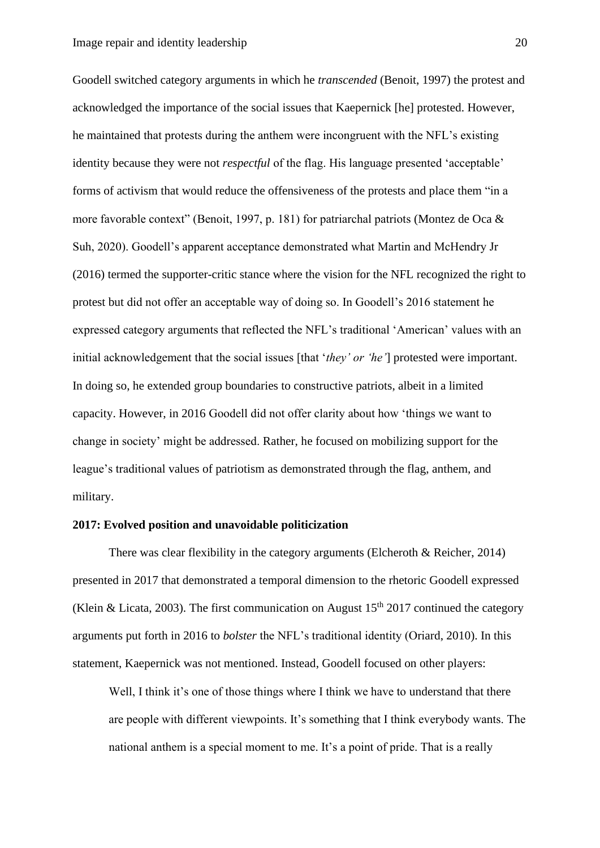Goodell switched category arguments in which he *transcended* (Benoit, 1997) the protest and acknowledged the importance of the social issues that Kaepernick [he] protested. However, he maintained that protests during the anthem were incongruent with the NFL's existing identity because they were not *respectful* of the flag. His language presented 'acceptable' forms of activism that would reduce the offensiveness of the protests and place them "in a more favorable context" (Benoit, 1997, p. 181) for patriarchal patriots (Montez de Oca & Suh, 2020). Goodell's apparent acceptance demonstrated what Martin and McHendry Jr (2016) termed the supporter-critic stance where the vision for the NFL recognized the right to protest but did not offer an acceptable way of doing so. In Goodell's 2016 statement he expressed category arguments that reflected the NFL's traditional 'American' values with an initial acknowledgement that the social issues [that '*they' or 'he'*] protested were important. In doing so, he extended group boundaries to constructive patriots, albeit in a limited capacity. However, in 2016 Goodell did not offer clarity about how 'things we want to change in society' might be addressed. Rather, he focused on mobilizing support for the league's traditional values of patriotism as demonstrated through the flag, anthem, and military.

## **2017: Evolved position and unavoidable politicization**

There was clear flexibility in the category arguments (Elcheroth & Reicher, 2014) presented in 2017 that demonstrated a temporal dimension to the rhetoric Goodell expressed (Klein & Licata, 2003). The first communication on August  $15<sup>th</sup>$  2017 continued the category arguments put forth in 2016 to *bolster* the NFL's traditional identity (Oriard, 2010). In this statement, Kaepernick was not mentioned. Instead, Goodell focused on other players:

Well, I think it's one of those things where I think we have to understand that there are people with different viewpoints. It's something that I think everybody wants. The national anthem is a special moment to me. It's a point of pride. That is a really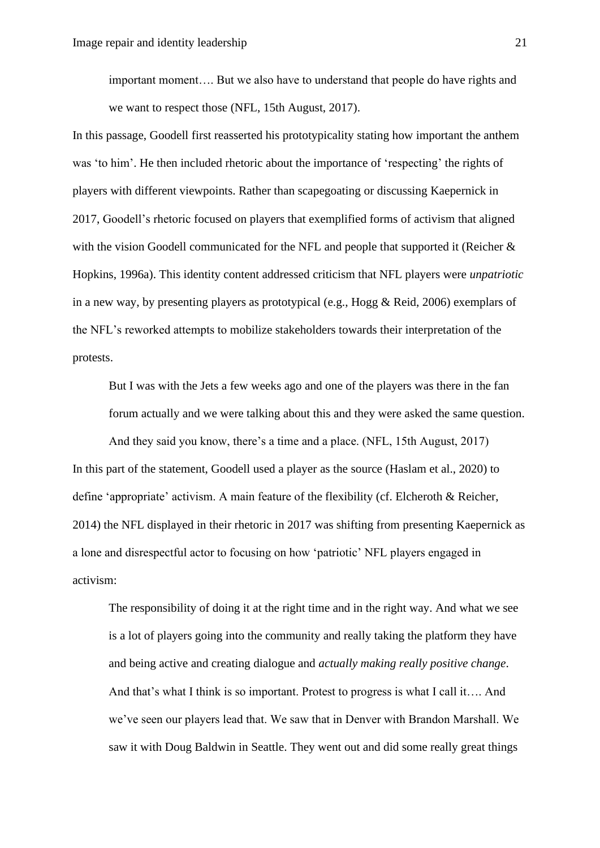important moment…. But we also have to understand that people do have rights and we want to respect those (NFL, 15th August, 2017).

In this passage, Goodell first reasserted his prototypicality stating how important the anthem was 'to him'. He then included rhetoric about the importance of 'respecting' the rights of players with different viewpoints. Rather than scapegoating or discussing Kaepernick in 2017, Goodell's rhetoric focused on players that exemplified forms of activism that aligned with the vision Goodell communicated for the NFL and people that supported it (Reicher & Hopkins, 1996a). This identity content addressed criticism that NFL players were *unpatriotic* in a new way, by presenting players as prototypical (e.g., Hogg & Reid, 2006) exemplars of the NFL's reworked attempts to mobilize stakeholders towards their interpretation of the protests.

But I was with the Jets a few weeks ago and one of the players was there in the fan forum actually and we were talking about this and they were asked the same question.

And they said you know, there's a time and a place. (NFL, 15th August, 2017) In this part of the statement, Goodell used a player as the source (Haslam et al., 2020) to define 'appropriate' activism. A main feature of the flexibility (cf. Elcheroth & Reicher, 2014) the NFL displayed in their rhetoric in 2017 was shifting from presenting Kaepernick as a lone and disrespectful actor to focusing on how 'patriotic' NFL players engaged in activism:

The responsibility of doing it at the right time and in the right way. And what we see is a lot of players going into the community and really taking the platform they have and being active and creating dialogue and *actually making really positive change*. And that's what I think is so important. Protest to progress is what I call it…. And we've seen our players lead that. We saw that in Denver with Brandon Marshall. We saw it with Doug Baldwin in Seattle. They went out and did some really great things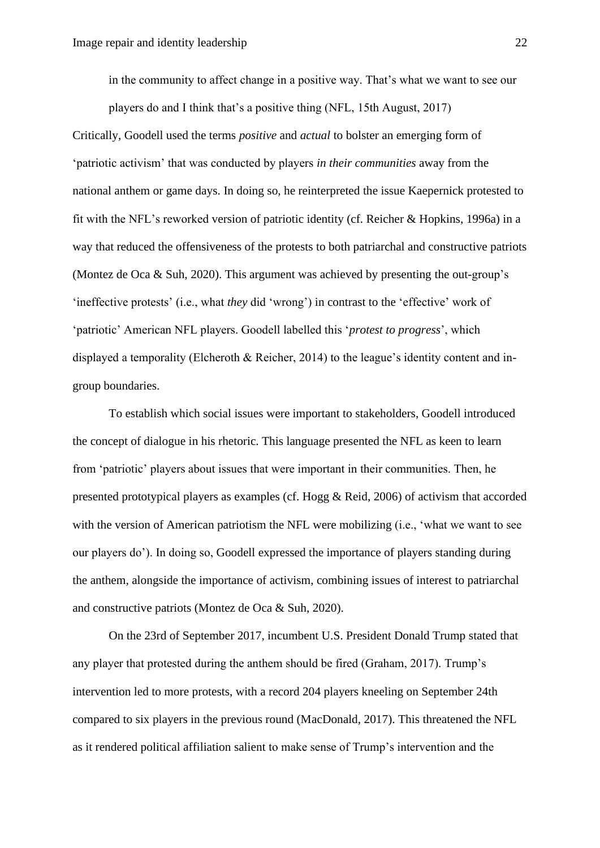in the community to affect change in a positive way. That's what we want to see our

players do and I think that's a positive thing (NFL, 15th August, 2017)

Critically, Goodell used the terms *positive* and *actual* to bolster an emerging form of 'patriotic activism' that was conducted by players *in their communities* away from the national anthem or game days. In doing so, he reinterpreted the issue Kaepernick protested to fit with the NFL's reworked version of patriotic identity (cf. Reicher & Hopkins, 1996a) in a way that reduced the offensiveness of the protests to both patriarchal and constructive patriots (Montez de Oca & Suh, 2020). This argument was achieved by presenting the out-group's 'ineffective protests' (i.e., what *they* did 'wrong') in contrast to the 'effective' work of 'patriotic' American NFL players. Goodell labelled this '*protest to progress*', which displayed a temporality (Elcheroth & Reicher, 2014) to the league's identity content and ingroup boundaries.

To establish which social issues were important to stakeholders, Goodell introduced the concept of dialogue in his rhetoric. This language presented the NFL as keen to learn from 'patriotic' players about issues that were important in their communities. Then, he presented prototypical players as examples (cf. Hogg & Reid, 2006) of activism that accorded with the version of American patriotism the NFL were mobilizing (i.e., 'what we want to see our players do'). In doing so, Goodell expressed the importance of players standing during the anthem, alongside the importance of activism, combining issues of interest to patriarchal and constructive patriots (Montez de Oca & Suh, 2020).

On the 23rd of September 2017, incumbent U.S. President Donald Trump stated that any player that protested during the anthem should be fired (Graham, 2017). Trump's intervention led to more protests, with a record 204 players kneeling on September 24th compared to six players in the previous round (MacDonald, 2017). This threatened the NFL as it rendered political affiliation salient to make sense of Trump's intervention and the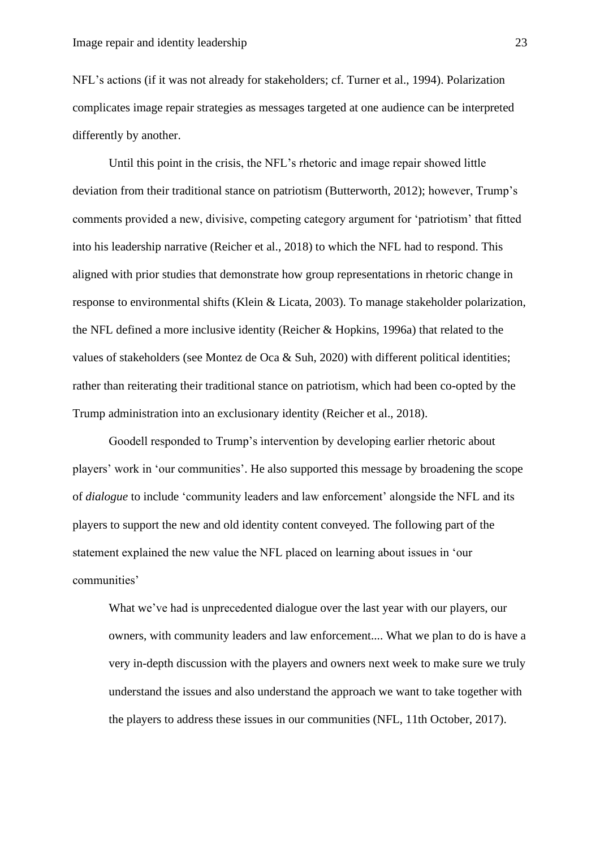NFL's actions (if it was not already for stakeholders; cf. Turner et al., 1994). Polarization complicates image repair strategies as messages targeted at one audience can be interpreted differently by another.

Until this point in the crisis, the NFL's rhetoric and image repair showed little deviation from their traditional stance on patriotism (Butterworth, 2012); however, Trump's comments provided a new, divisive, competing category argument for 'patriotism' that fitted into his leadership narrative (Reicher et al., 2018) to which the NFL had to respond. This aligned with prior studies that demonstrate how group representations in rhetoric change in response to environmental shifts (Klein & Licata, 2003). To manage stakeholder polarization, the NFL defined a more inclusive identity (Reicher & Hopkins, 1996a) that related to the values of stakeholders (see Montez de Oca & Suh, 2020) with different political identities; rather than reiterating their traditional stance on patriotism, which had been co-opted by the Trump administration into an exclusionary identity (Reicher et al., 2018).

Goodell responded to Trump's intervention by developing earlier rhetoric about players' work in 'our communities'. He also supported this message by broadening the scope of *dialogue* to include 'community leaders and law enforcement' alongside the NFL and its players to support the new and old identity content conveyed. The following part of the statement explained the new value the NFL placed on learning about issues in 'our communities'

What we've had is unprecedented dialogue over the last year with our players, our owners, with community leaders and law enforcement.... What we plan to do is have a very in-depth discussion with the players and owners next week to make sure we truly understand the issues and also understand the approach we want to take together with the players to address these issues in our communities (NFL, 11th October, 2017).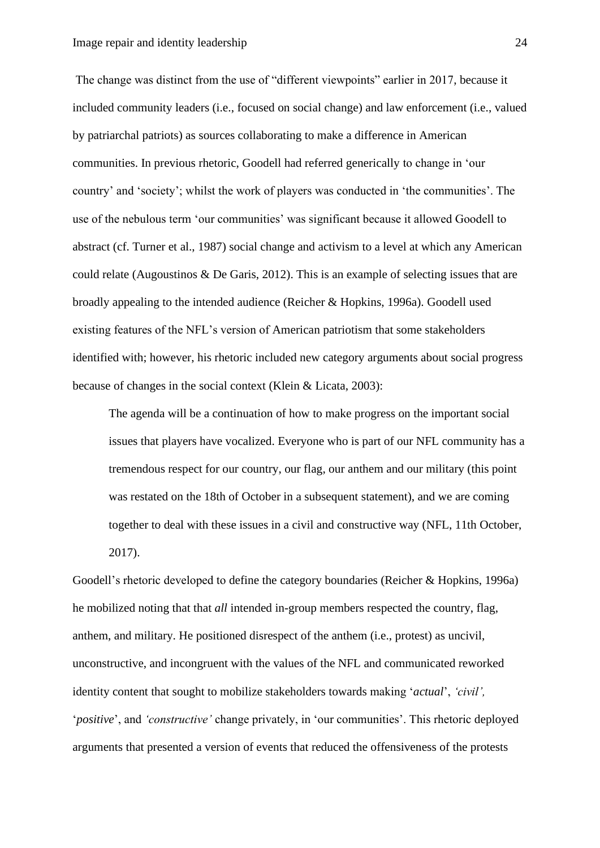The change was distinct from the use of "different viewpoints" earlier in 2017, because it included community leaders (i.e., focused on social change) and law enforcement (i.e., valued by patriarchal patriots) as sources collaborating to make a difference in American communities. In previous rhetoric, Goodell had referred generically to change in 'our country' and 'society'; whilst the work of players was conducted in 'the communities'. The use of the nebulous term 'our communities' was significant because it allowed Goodell to abstract (cf. Turner et al., 1987) social change and activism to a level at which any American could relate (Augoustinos & De Garis, 2012). This is an example of selecting issues that are broadly appealing to the intended audience (Reicher & Hopkins, 1996a). Goodell used existing features of the NFL's version of American patriotism that some stakeholders identified with; however, his rhetoric included new category arguments about social progress because of changes in the social context (Klein & Licata, 2003):

The agenda will be a continuation of how to make progress on the important social issues that players have vocalized. Everyone who is part of our NFL community has a tremendous respect for our country, our flag, our anthem and our military (this point was restated on the 18th of October in a subsequent statement), and we are coming together to deal with these issues in a civil and constructive way (NFL, 11th October, 2017).

Goodell's rhetoric developed to define the category boundaries (Reicher & Hopkins, 1996a) he mobilized noting that that *all* intended in-group members respected the country, flag, anthem, and military. He positioned disrespect of the anthem (i.e., protest) as uncivil, unconstructive, and incongruent with the values of the NFL and communicated reworked identity content that sought to mobilize stakeholders towards making '*actual*', *'civil',*  '*positive*', and *'constructive'* change privately, in 'our communities'. This rhetoric deployed arguments that presented a version of events that reduced the offensiveness of the protests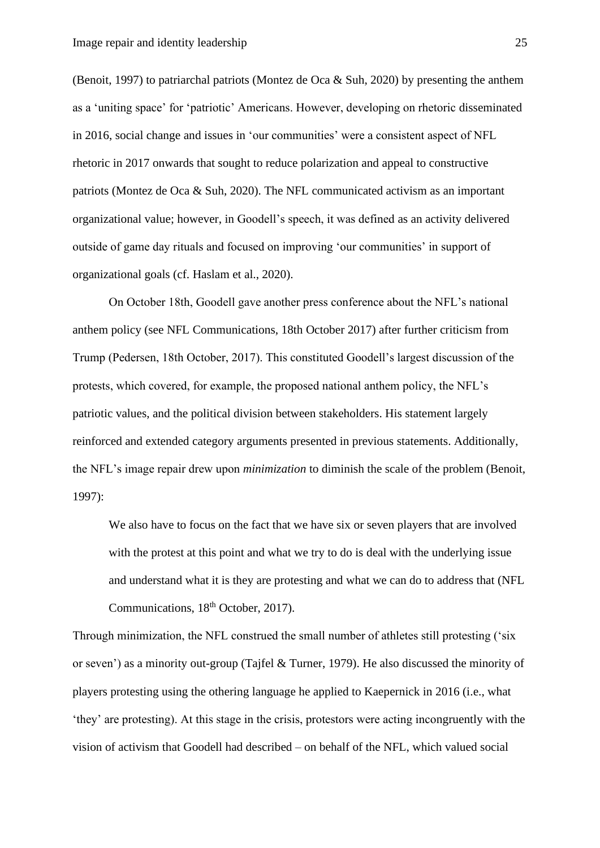(Benoit, 1997) to patriarchal patriots (Montez de Oca & Suh, 2020) by presenting the anthem as a 'uniting space' for 'patriotic' Americans. However, developing on rhetoric disseminated in 2016, social change and issues in 'our communities' were a consistent aspect of NFL rhetoric in 2017 onwards that sought to reduce polarization and appeal to constructive patriots (Montez de Oca & Suh, 2020). The NFL communicated activism as an important organizational value; however, in Goodell's speech, it was defined as an activity delivered outside of game day rituals and focused on improving 'our communities' in support of organizational goals (cf. Haslam et al., 2020).

On October 18th, Goodell gave another press conference about the NFL's national anthem policy (see NFL Communications, 18th October 2017) after further criticism from Trump (Pedersen, 18th October, 2017). This constituted Goodell's largest discussion of the protests, which covered, for example, the proposed national anthem policy, the NFL's patriotic values, and the political division between stakeholders. His statement largely reinforced and extended category arguments presented in previous statements. Additionally, the NFL's image repair drew upon *minimization* to diminish the scale of the problem (Benoit, 1997):

We also have to focus on the fact that we have six or seven players that are involved with the protest at this point and what we try to do is deal with the underlying issue and understand what it is they are protesting and what we can do to address that (NFL Communications, 18<sup>th</sup> October, 2017).

Through minimization, the NFL construed the small number of athletes still protesting ('six or seven') as a minority out-group (Tajfel & Turner, 1979). He also discussed the minority of players protesting using the othering language he applied to Kaepernick in 2016 (i.e., what 'they' are protesting). At this stage in the crisis, protestors were acting incongruently with the vision of activism that Goodell had described – on behalf of the NFL, which valued social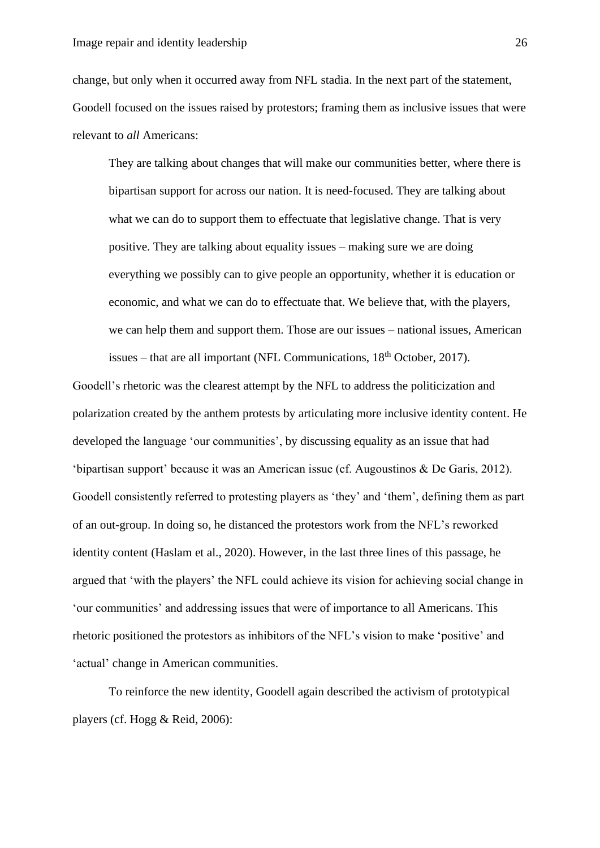change, but only when it occurred away from NFL stadia. In the next part of the statement, Goodell focused on the issues raised by protestors; framing them as inclusive issues that were relevant to *all* Americans:

They are talking about changes that will make our communities better, where there is bipartisan support for across our nation. It is need-focused. They are talking about what we can do to support them to effectuate that legislative change. That is very positive. They are talking about equality issues – making sure we are doing everything we possibly can to give people an opportunity, whether it is education or economic, and what we can do to effectuate that. We believe that, with the players, we can help them and support them. Those are our issues – national issues, American issues – that are all important (NFL Communications,  $18<sup>th</sup>$  October, 2017).

Goodell's rhetoric was the clearest attempt by the NFL to address the politicization and polarization created by the anthem protests by articulating more inclusive identity content. He developed the language 'our communities', by discussing equality as an issue that had 'bipartisan support' because it was an American issue (cf. Augoustinos & De Garis, 2012). Goodell consistently referred to protesting players as 'they' and 'them', defining them as part of an out-group. In doing so, he distanced the protestors work from the NFL's reworked identity content (Haslam et al., 2020). However, in the last three lines of this passage, he argued that 'with the players' the NFL could achieve its vision for achieving social change in 'our communities' and addressing issues that were of importance to all Americans. This rhetoric positioned the protestors as inhibitors of the NFL's vision to make 'positive' and 'actual' change in American communities.

To reinforce the new identity, Goodell again described the activism of prototypical players (cf. Hogg & Reid, 2006):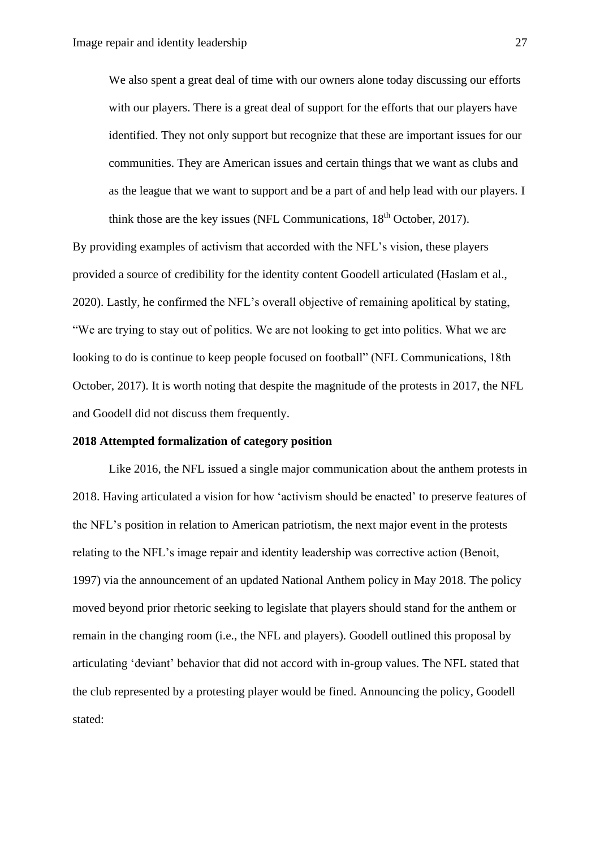We also spent a great deal of time with our owners alone today discussing our efforts with our players. There is a great deal of support for the efforts that our players have identified. They not only support but recognize that these are important issues for our communities. They are American issues and certain things that we want as clubs and as the league that we want to support and be a part of and help lead with our players. I think those are the key issues (NFL Communications,  $18<sup>th</sup>$  October, 2017).

By providing examples of activism that accorded with the NFL's vision, these players provided a source of credibility for the identity content Goodell articulated (Haslam et al., 2020). Lastly, he confirmed the NFL's overall objective of remaining apolitical by stating, "We are trying to stay out of politics. We are not looking to get into politics. What we are looking to do is continue to keep people focused on football" (NFL Communications, 18th October, 2017). It is worth noting that despite the magnitude of the protests in 2017, the NFL and Goodell did not discuss them frequently.

# **2018 Attempted formalization of category position**

Like 2016, the NFL issued a single major communication about the anthem protests in 2018. Having articulated a vision for how 'activism should be enacted' to preserve features of the NFL's position in relation to American patriotism, the next major event in the protests relating to the NFL's image repair and identity leadership was corrective action (Benoit, 1997) via the announcement of an updated National Anthem policy in May 2018. The policy moved beyond prior rhetoric seeking to legislate that players should stand for the anthem or remain in the changing room (i.e., the NFL and players). Goodell outlined this proposal by articulating 'deviant' behavior that did not accord with in-group values. The NFL stated that the club represented by a protesting player would be fined. Announcing the policy, Goodell stated: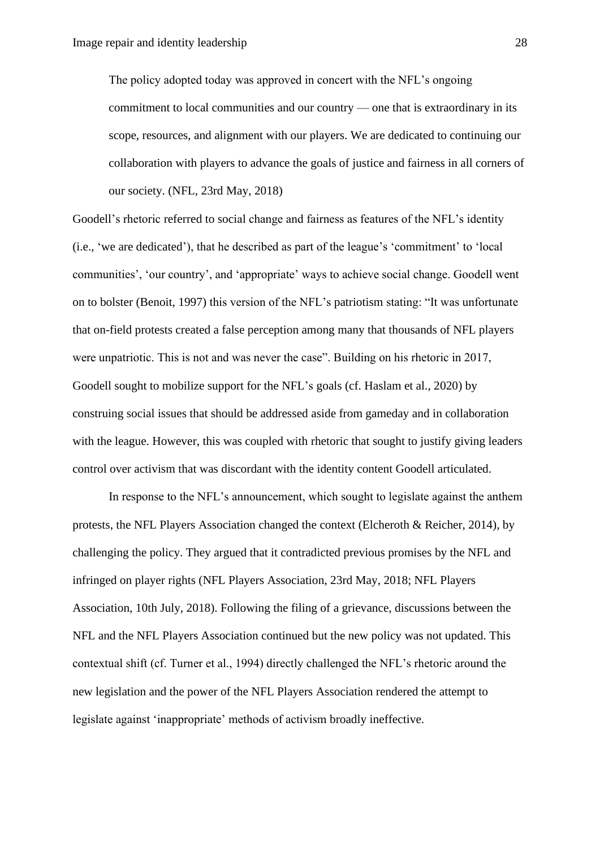The policy adopted today was approved in concert with the NFL's ongoing commitment to local communities and our country — one that is extraordinary in its scope, resources, and alignment with our players. We are dedicated to continuing our collaboration with players to advance the goals of justice and fairness in all corners of our society. (NFL, 23rd May, 2018)

Goodell's rhetoric referred to social change and fairness as features of the NFL's identity (i.e., 'we are dedicated'), that he described as part of the league's 'commitment' to 'local communities', 'our country', and 'appropriate' ways to achieve social change. Goodell went on to bolster (Benoit, 1997) this version of the NFL's patriotism stating: "It was unfortunate that on-field protests created a false perception among many that thousands of NFL players were unpatriotic. This is not and was never the case". Building on his rhetoric in 2017, Goodell sought to mobilize support for the NFL's goals (cf. Haslam et al., 2020) by construing social issues that should be addressed aside from gameday and in collaboration with the league. However, this was coupled with rhetoric that sought to justify giving leaders control over activism that was discordant with the identity content Goodell articulated.

In response to the NFL's announcement, which sought to legislate against the anthem protests, the NFL Players Association changed the context (Elcheroth & Reicher, 2014), by challenging the policy. They argued that it contradicted previous promises by the NFL and infringed on player rights (NFL Players Association, 23rd May, 2018; NFL Players Association, 10th July, 2018). Following the filing of a grievance, discussions between the NFL and the NFL Players Association continued but the new policy was not updated. This contextual shift (cf. Turner et al., 1994) directly challenged the NFL's rhetoric around the new legislation and the power of the NFL Players Association rendered the attempt to legislate against 'inappropriate' methods of activism broadly ineffective.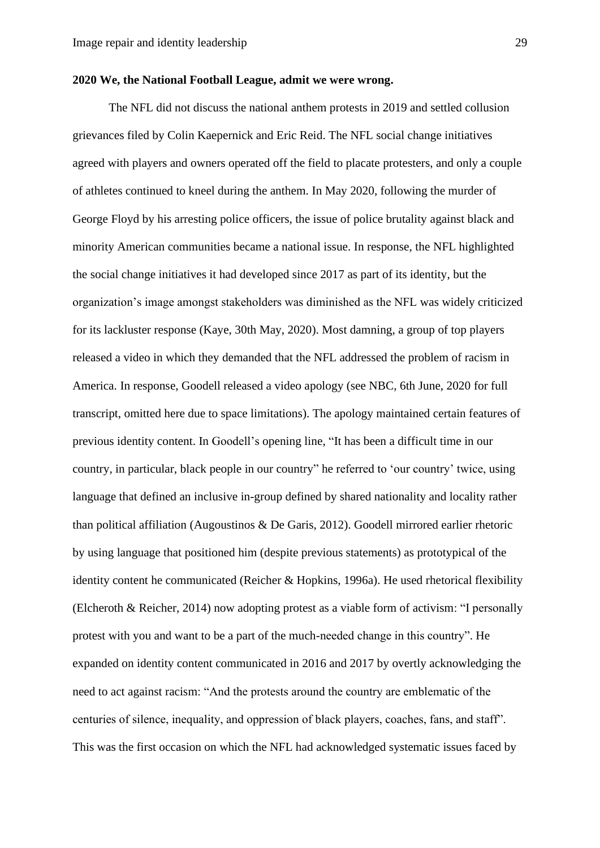#### **2020 We, the National Football League, admit we were wrong.**

The NFL did not discuss the national anthem protests in 2019 and settled collusion grievances filed by Colin Kaepernick and Eric Reid. The NFL social change initiatives agreed with players and owners operated off the field to placate protesters, and only a couple of athletes continued to kneel during the anthem. In May 2020, following the murder of George Floyd by his arresting police officers, the issue of police brutality against black and minority American communities became a national issue. In response, the NFL highlighted the social change initiatives it had developed since 2017 as part of its identity, but the organization's image amongst stakeholders was diminished as the NFL was widely criticized for its lackluster response (Kaye, 30th May, 2020). Most damning, a group of top players released a video in which they demanded that the NFL addressed the problem of racism in America. In response, Goodell released a video apology (see NBC, 6th June, 2020 for full transcript, omitted here due to space limitations). The apology maintained certain features of previous identity content. In Goodell's opening line, "It has been a difficult time in our country, in particular, black people in our country" he referred to 'our country' twice, using language that defined an inclusive in-group defined by shared nationality and locality rather than political affiliation (Augoustinos & De Garis, 2012). Goodell mirrored earlier rhetoric by using language that positioned him (despite previous statements) as prototypical of the identity content he communicated (Reicher & Hopkins, 1996a). He used rhetorical flexibility (Elcheroth & Reicher, 2014) now adopting protest as a viable form of activism: "I personally protest with you and want to be a part of the much-needed change in this country". He expanded on identity content communicated in 2016 and 2017 by overtly acknowledging the need to act against racism: "And the protests around the country are emblematic of the centuries of silence, inequality, and oppression of black players, coaches, fans, and staff". This was the first occasion on which the NFL had acknowledged systematic issues faced by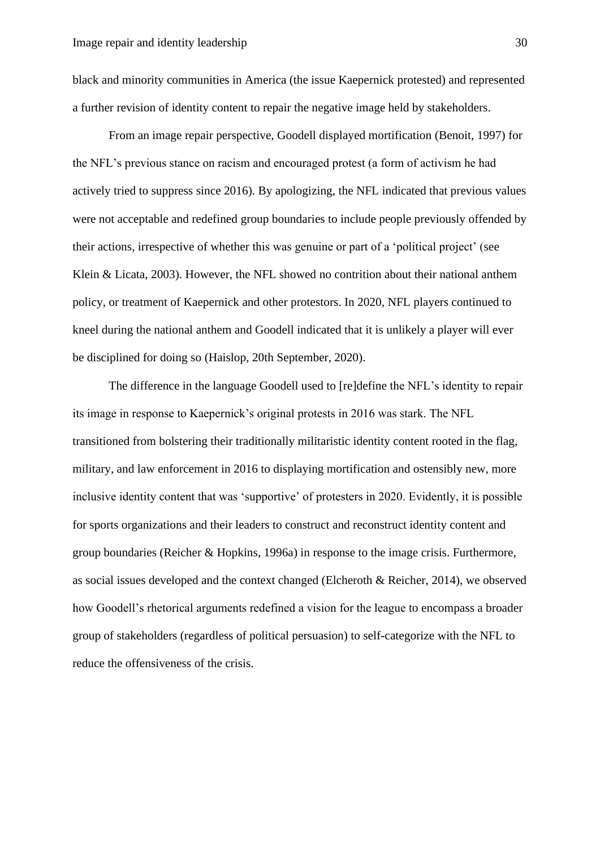black and minority communities in America (the issue Kaepernick protested) and represented a further revision of identity content to repair the negative image held by stakeholders.

From an image repair perspective, Goodell displayed mortification (Benoit, 1997) for the NFL's previous stance on racism and encouraged protest (a form of activism he had actively tried to suppress since 2016). By apologizing, the NFL indicated that previous values were not acceptable and redefined group boundaries to include people previously offended by their actions, irrespective of whether this was genuine or part of a 'political project' (see Klein & Licata, 2003). However, the NFL showed no contrition about their national anthem policy, or treatment of Kaepernick and other protestors. In 2020, NFL players continued to kneel during the national anthem and Goodell indicated that it is unlikely a player will ever be disciplined for doing so (Haislop, 20th September, 2020).

The difference in the language Goodell used to [re]define the NFL's identity to repair its image in response to Kaepernick's original protests in 2016 was stark. The NFL transitioned from bolstering their traditionally militaristic identity content rooted in the flag, military, and law enforcement in 2016 to displaying mortification and ostensibly new, more inclusive identity content that was 'supportive' of protesters in 2020. Evidently, it is possible for sports organizations and their leaders to construct and reconstruct identity content and group boundaries (Reicher & Hopkins, 1996a) in response to the image crisis. Furthermore, as social issues developed and the context changed (Elcheroth & Reicher, 2014), we observed how Goodell's rhetorical arguments redefined a vision for the league to encompass a broader group of stakeholders (regardless of political persuasion) to self-categorize with the NFL to reduce the offensiveness of the crisis.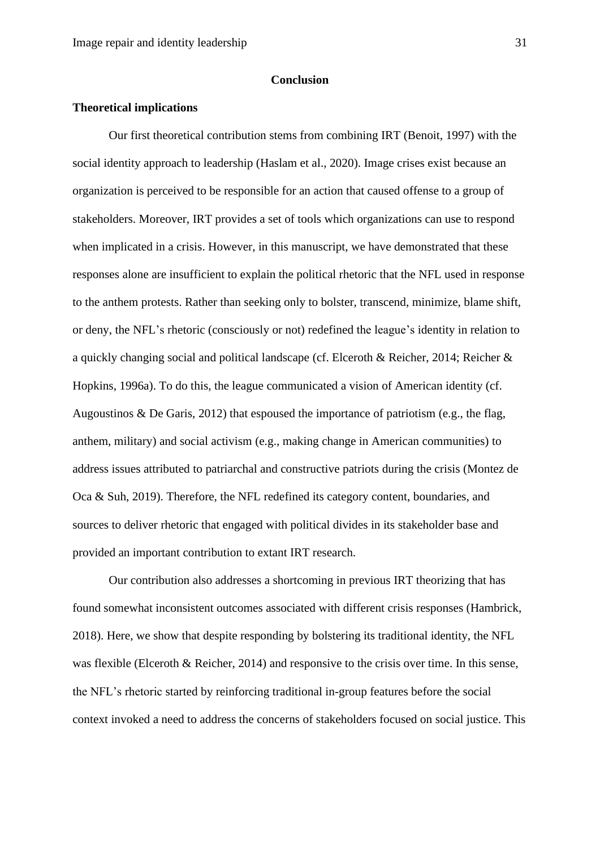## **Conclusion**

#### **Theoretical implications**

Our first theoretical contribution stems from combining IRT (Benoit, 1997) with the social identity approach to leadership (Haslam et al., 2020). Image crises exist because an organization is perceived to be responsible for an action that caused offense to a group of stakeholders. Moreover, IRT provides a set of tools which organizations can use to respond when implicated in a crisis. However, in this manuscript, we have demonstrated that these responses alone are insufficient to explain the political rhetoric that the NFL used in response to the anthem protests. Rather than seeking only to bolster, transcend, minimize, blame shift, or deny, the NFL's rhetoric (consciously or not) redefined the league's identity in relation to a quickly changing social and political landscape (cf. Elceroth & Reicher, 2014; Reicher & Hopkins, 1996a). To do this, the league communicated a vision of American identity (cf. Augoustinos  $\&$  De Garis, 2012) that espoused the importance of patriotism (e.g., the flag, anthem, military) and social activism (e.g., making change in American communities) to address issues attributed to patriarchal and constructive patriots during the crisis (Montez de Oca & Suh, 2019). Therefore, the NFL redefined its category content, boundaries, and sources to deliver rhetoric that engaged with political divides in its stakeholder base and provided an important contribution to extant IRT research.

Our contribution also addresses a shortcoming in previous IRT theorizing that has found somewhat inconsistent outcomes associated with different crisis responses (Hambrick, 2018). Here, we show that despite responding by bolstering its traditional identity, the NFL was flexible (Elceroth & Reicher, 2014) and responsive to the crisis over time. In this sense, the NFL's rhetoric started by reinforcing traditional in-group features before the social context invoked a need to address the concerns of stakeholders focused on social justice. This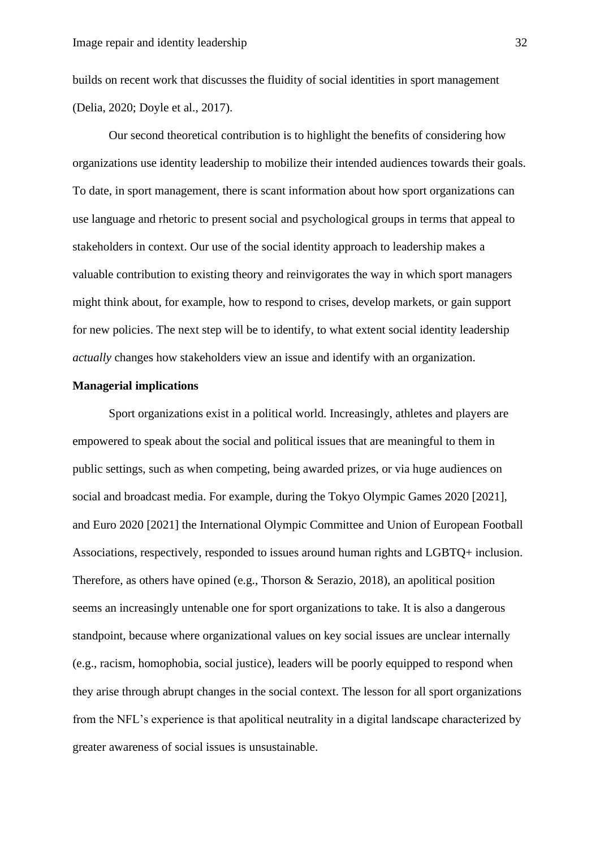builds on recent work that discusses the fluidity of social identities in sport management (Delia, 2020; Doyle et al., 2017).

Our second theoretical contribution is to highlight the benefits of considering how organizations use identity leadership to mobilize their intended audiences towards their goals. To date, in sport management, there is scant information about how sport organizations can use language and rhetoric to present social and psychological groups in terms that appeal to stakeholders in context. Our use of the social identity approach to leadership makes a valuable contribution to existing theory and reinvigorates the way in which sport managers might think about, for example, how to respond to crises, develop markets, or gain support for new policies. The next step will be to identify, to what extent social identity leadership *actually* changes how stakeholders view an issue and identify with an organization.

# **Managerial implications**

Sport organizations exist in a political world. Increasingly, athletes and players are empowered to speak about the social and political issues that are meaningful to them in public settings, such as when competing, being awarded prizes, or via huge audiences on social and broadcast media. For example, during the Tokyo Olympic Games 2020 [2021], and Euro 2020 [2021] the International Olympic Committee and Union of European Football Associations, respectively, responded to issues around human rights and LGBTQ+ inclusion. Therefore, as others have opined (e.g., Thorson & Serazio, 2018), an apolitical position seems an increasingly untenable one for sport organizations to take. It is also a dangerous standpoint, because where organizational values on key social issues are unclear internally (e.g., racism, homophobia, social justice), leaders will be poorly equipped to respond when they arise through abrupt changes in the social context. The lesson for all sport organizations from the NFL's experience is that apolitical neutrality in a digital landscape characterized by greater awareness of social issues is unsustainable.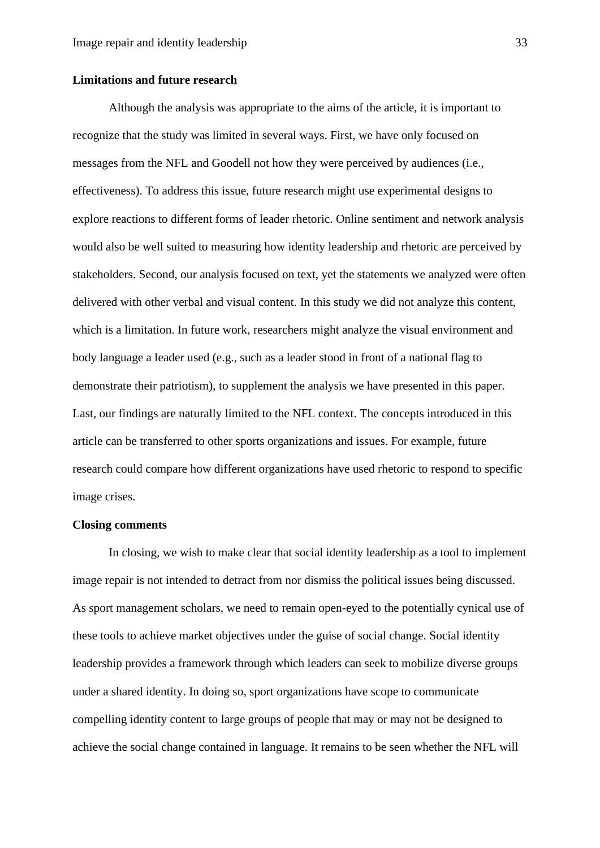### **Limitations and future research**

Although the analysis was appropriate to the aims of the article, it is important to recognize that the study was limited in several ways. First, we have only focused on messages from the NFL and Goodell not how they were perceived by audiences (i.e., effectiveness). To address this issue, future research might use experimental designs to explore reactions to different forms of leader rhetoric. Online sentiment and network analysis would also be well suited to measuring how identity leadership and rhetoric are perceived by stakeholders. Second, our analysis focused on text, yet the statements we analyzed were often delivered with other verbal and visual content. In this study we did not analyze this content, which is a limitation. In future work, researchers might analyze the visual environment and body language a leader used (e.g., such as a leader stood in front of a national flag to demonstrate their patriotism), to supplement the analysis we have presented in this paper. Last, our findings are naturally limited to the NFL context. The concepts introduced in this article can be transferred to other sports organizations and issues. For example, future research could compare how different organizations have used rhetoric to respond to specific image crises.

## **Closing comments**

In closing, we wish to make clear that social identity leadership as a tool to implement image repair is not intended to detract from nor dismiss the political issues being discussed. As sport management scholars, we need to remain open-eyed to the potentially cynical use of these tools to achieve market objectives under the guise of social change. Social identity leadership provides a framework through which leaders can seek to mobilize diverse groups under a shared identity. In doing so, sport organizations have scope to communicate compelling identity content to large groups of people that may or may not be designed to achieve the social change contained in language. It remains to be seen whether the NFL will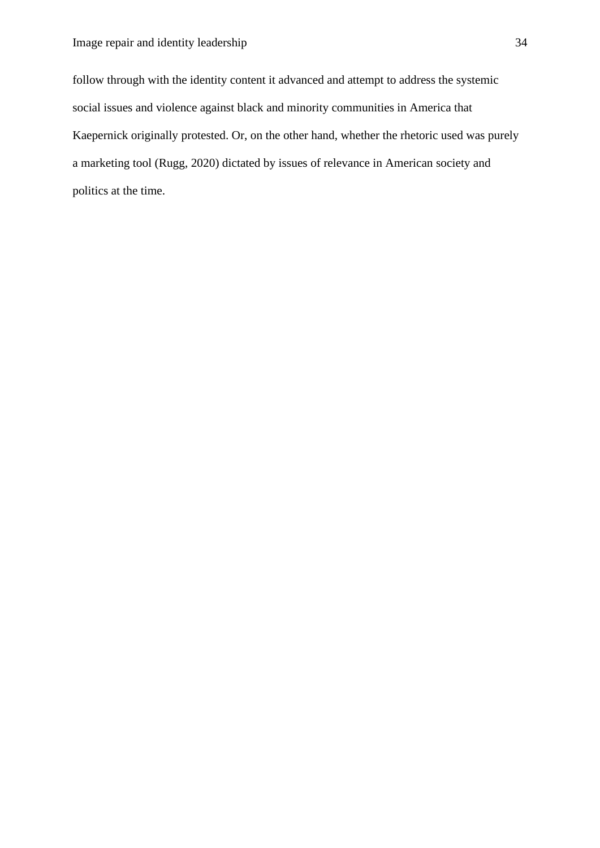follow through with the identity content it advanced and attempt to address the systemic social issues and violence against black and minority communities in America that Kaepernick originally protested. Or, on the other hand, whether the rhetoric used was purely a marketing tool (Rugg, 2020) dictated by issues of relevance in American society and politics at the time.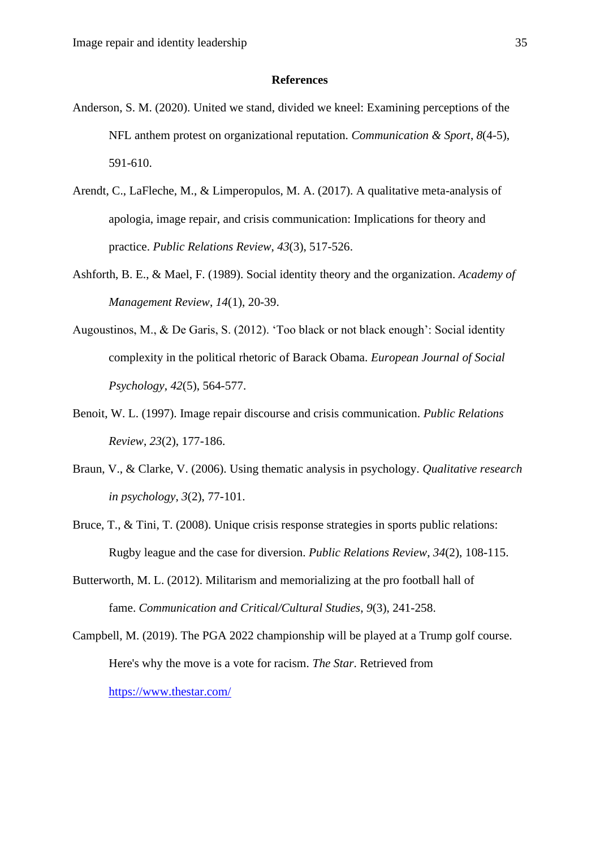#### **References**

- Anderson, S. M. (2020). United we stand, divided we kneel: Examining perceptions of the NFL anthem protest on organizational reputation. *Communication & Sport*, *8*(4-5), 591-610.
- Arendt, C., LaFleche, M., & Limperopulos, M. A. (2017). A qualitative meta-analysis of apologia, image repair, and crisis communication: Implications for theory and practice. *Public Relations Review*, *43*(3), 517-526.
- Ashforth, B. E., & Mael, F. (1989). Social identity theory and the organization. *Academy of Management Review*, *14*(1), 20-39.
- Augoustinos, M., & De Garis, S. (2012). 'Too black or not black enough': Social identity complexity in the political rhetoric of Barack Obama. *European Journal of Social Psychology*, *42*(5), 564-577.
- Benoit, W. L. (1997). Image repair discourse and crisis communication. *Public Relations Review*, *23*(2), 177-186.
- Braun, V., & Clarke, V. (2006). Using thematic analysis in psychology. *Qualitative research in psychology*, *3*(2), 77-101.
- Bruce, T., & Tini, T. (2008). Unique crisis response strategies in sports public relations: Rugby league and the case for diversion. *Public Relations Review*, *34*(2), 108-115.
- Butterworth, M. L. (2012). Militarism and memorializing at the pro football hall of fame. *Communication and Critical/Cultural Studies*, *9*(3), 241-258.
- Campbell, M. (2019). The PGA 2022 championship will be played at a Trump golf course. Here's why the move is a vote for racism. *The Star*. Retrieved from <https://www.thestar.com/>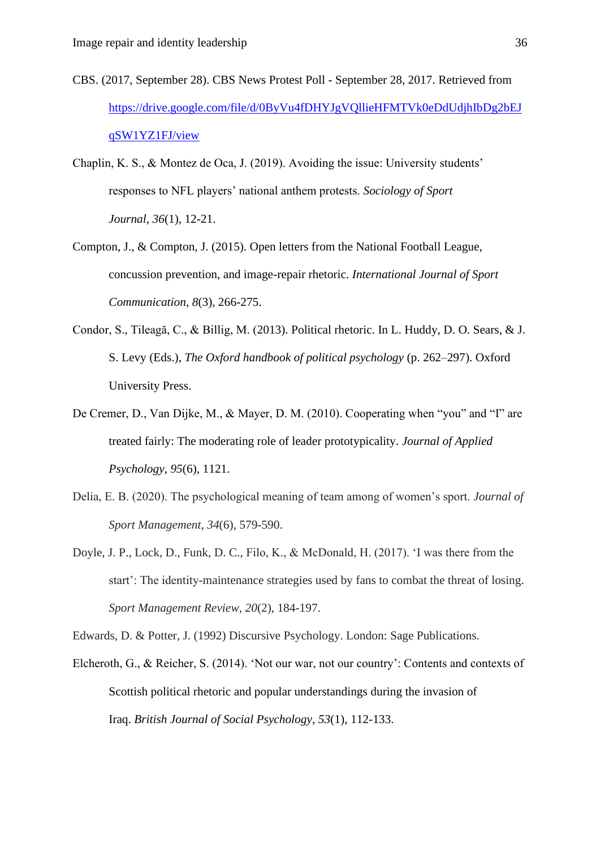- CBS. (2017, September 28). CBS News Protest Poll September 28, 2017. Retrieved from [https://drive.google.com/file/d/0ByVu4fDHYJgVQllieHFMTVk0eDdUdjhIbDg2bEJ](https://drive.google.com/file/d/0ByVu4fDHYJgVQllieHFMTVk0eDdUdjhIbDg2bEJqSW1YZ1FJ/view) [qSW1YZ1FJ/view](https://drive.google.com/file/d/0ByVu4fDHYJgVQllieHFMTVk0eDdUdjhIbDg2bEJqSW1YZ1FJ/view)
- Chaplin, K. S., & Montez de Oca, J. (2019). Avoiding the issue: University students' responses to NFL players' national anthem protests. *Sociology of Sport Journal*, *36*(1), 12-21.
- Compton, J., & Compton, J. (2015). Open letters from the National Football League, concussion prevention, and image-repair rhetoric. *International Journal of Sport Communication*, *8*(3), 266-275.
- Condor, S., Tileagă, C., & Billig, M. (2013). Political rhetoric. In L. Huddy, D. O. Sears, & J. S. Levy (Eds.), *The Oxford handbook of political psychology* (p. 262–297). Oxford University Press.
- De Cremer, D., Van Dijke, M., & Mayer, D. M. (2010). Cooperating when "you" and "I" are treated fairly: The moderating role of leader prototypicality. *Journal of Applied Psychology*, *95*(6), 1121.
- Delia, E. B. (2020). The psychological meaning of team among of women's sport. *Journal of Sport Management*, *34*(6), 579-590.
- Doyle, J. P., Lock, D., Funk, D. C., Filo, K., & McDonald, H. (2017). 'I was there from the start': The identity-maintenance strategies used by fans to combat the threat of losing. *Sport Management Review*, *20*(2), 184-197.
- Edwards, D. & Potter, J. (1992) Discursive Psychology. London: Sage Publications.
- Elcheroth, G., & Reicher, S. (2014). 'Not our war, not our country': Contents and contexts of Scottish political rhetoric and popular understandings during the invasion of Iraq. *British Journal of Social Psychology*, *53*(1), 112-133.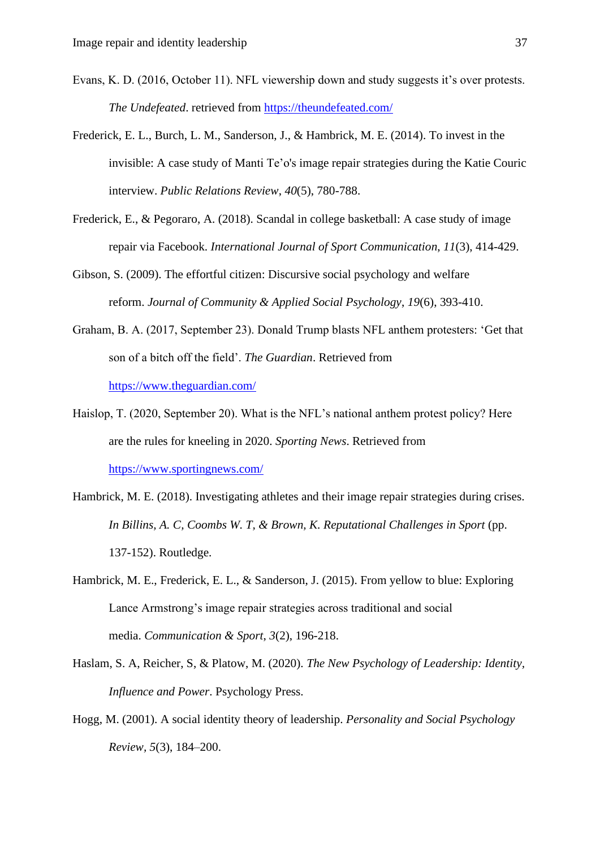- Evans, K. D. (2016, October 11). NFL viewership down and study suggests it's over protests. *The Undefeated*. retrieved from [https://theundefeated.com/](https://theundefeated.com/features/nfl-viewership-down-and-study-suggests-its-over-protests/)
- Frederick, E. L., Burch, L. M., Sanderson, J., & Hambrick, M. E. (2014). To invest in the invisible: A case study of Manti Te'o's image repair strategies during the Katie Couric interview. *Public Relations Review*, *40*(5), 780-788.
- Frederick, E., & Pegoraro, A. (2018). Scandal in college basketball: A case study of image repair via Facebook. *International Journal of Sport Communication*, *11*(3), 414-429.
- Gibson, S. (2009). The effortful citizen: Discursive social psychology and welfare reform. *Journal of Community & Applied Social Psychology*, *19*(6), 393-410.
- Graham, B. A. (2017, September 23). Donald Trump blasts NFL anthem protesters: 'Get that son of a bitch off the field'. *The Guardian*. Retrieved from <https://www.theguardian.com/>
- Haislop, T. (2020, September 20). What is the NFL's national anthem protest policy? Here are the rules for kneeling in 2020. *Sporting News*. Retrieved from <https://www.sportingnews.com/>
- Hambrick, M. E. (2018). Investigating athletes and their image repair strategies during crises. *In Billins, A. C, Coombs W. T, & Brown, K. Reputational Challenges in Sport* (pp. 137-152). Routledge.
- Hambrick, M. E., Frederick, E. L., & Sanderson, J. (2015). From yellow to blue: Exploring Lance Armstrong's image repair strategies across traditional and social media. *Communication & Sport*, *3*(2), 196-218.
- Haslam, S. A, Reicher, S, & Platow, M. (2020). *The New Psychology of Leadership: Identity, Influence and Power*. Psychology Press.
- Hogg, M. (2001). A social identity theory of leadership. *Personality and Social Psychology Review, 5*(3), 184–200.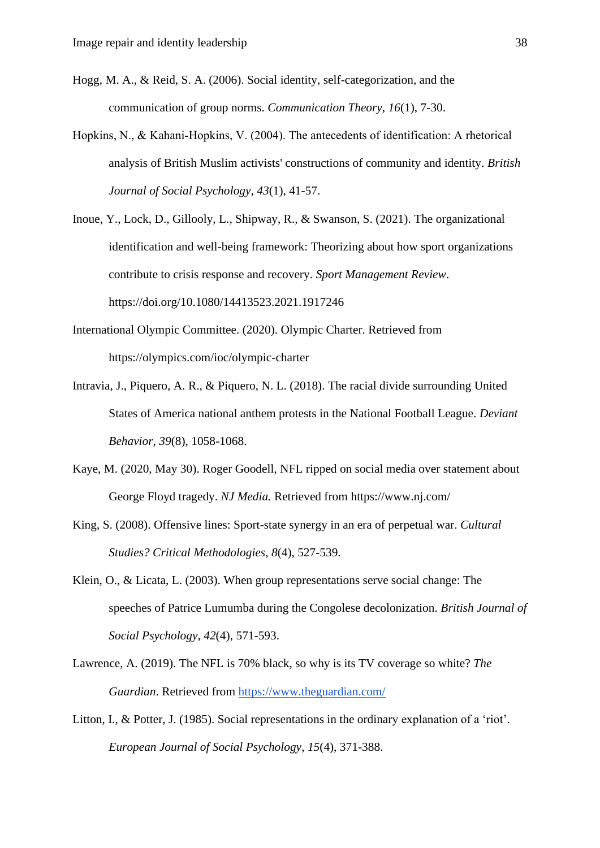- Hogg, M. A., & Reid, S. A. (2006). Social identity, self-categorization, and the communication of group norms. *Communication Theory*, *16*(1), 7-30.
- Hopkins, N., & Kahani‐Hopkins, V. (2004). The antecedents of identification: A rhetorical analysis of British Muslim activists' constructions of community and identity. *British Journal of Social Psychology*, *43*(1), 41-57.
- Inoue, Y., Lock, D., Gillooly, L., Shipway, R., & Swanson, S. (2021). The organizational identification and well-being framework: Theorizing about how sport organizations contribute to crisis response and recovery. *Sport Management Review*. https://doi.org/10.1080/14413523.2021.1917246
- International Olympic Committee. (2020). Olympic Charter. Retrieved from https://olympics.com/ioc/olympic-charter
- Intravia, J., Piquero, A. R., & Piquero, N. L. (2018). The racial divide surrounding United States of America national anthem protests in the National Football League. *Deviant Behavior*, *39*(8), 1058-1068.
- Kaye, M. (2020, May 30). Roger Goodell, NFL ripped on social media over statement about George Floyd tragedy. *NJ Media.* Retrieved from https://www.nj.com/
- King, S. (2008). Offensive lines: Sport-state synergy in an era of perpetual war. *Cultural Studies? Critical Methodologies*, *8*(4), 527-539.
- Klein, O., & Licata, L. (2003). When group representations serve social change: The speeches of Patrice Lumumba during the Congolese decolonization. *British Journal of Social Psychology*, *42*(4), 571-593.
- Lawrence, A. (2019). The NFL is 70% black, so why is its TV coverage so white? *The Guardian*. Retrieved from<https://www.theguardian.com/>
- Litton, I., & Potter, J. (1985). Social representations in the ordinary explanation of a 'riot'. *European Journal of Social Psychology*, *15*(4), 371-388.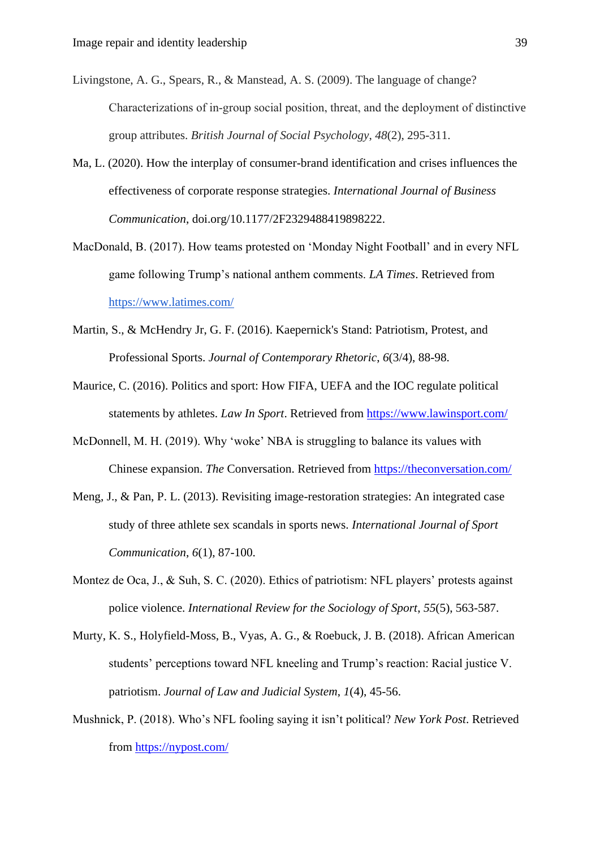- Livingstone, A. G., Spears, R., & Manstead, A. S. (2009). The language of change? Characterizations of in‐group social position, threat, and the deployment of distinctive group attributes. *British Journal of Social Psychology*, *48*(2), 295-311.
- Ma, L. (2020). How the interplay of consumer-brand identification and crises influences the effectiveness of corporate response strategies. *International Journal of Business Communication*, doi.org/10.1177/2F2329488419898222.
- MacDonald, B. (2017). How teams protested on 'Monday Night Football' and in every NFL game following Trump's national anthem comments. *LA Times*. Retrieved from <https://www.latimes.com/>
- Martin, S., & McHendry Jr, G. F. (2016). Kaepernick's Stand: Patriotism, Protest, and Professional Sports. *Journal of Contemporary Rhetoric*, *6*(3/4), 88-98.
- Maurice, C. (2016). Politics and sport: How FIFA, UEFA and the IOC regulate political statements by athletes. *Law In Sport*. Retrieved from<https://www.lawinsport.com/>
- McDonnell, M. H. (2019). Why 'woke' NBA is struggling to balance its values with Chinese expansion. *The* Conversation. Retrieved from<https://theconversation.com/>
- Meng, J., & Pan, P. L. (2013). Revisiting image-restoration strategies: An integrated case study of three athlete sex scandals in sports news. *International Journal of Sport Communication*, *6*(1), 87-100.
- Montez de Oca, J., & Suh, S. C. (2020). Ethics of patriotism: NFL players' protests against police violence. *International Review for the Sociology of Sport*, *55*(5), 563-587.
- Murty, K. S., Holyfield-Moss, B., Vyas, A. G., & Roebuck, J. B. (2018). African American students' perceptions toward NFL kneeling and Trump's reaction: Racial justice V. patriotism. *Journal of Law and Judicial System*, *1*(4), 45-56.
- Mushnick, P. (2018). Who's NFL fooling saying it isn't political? *New York Post*. Retrieved from<https://nypost.com/>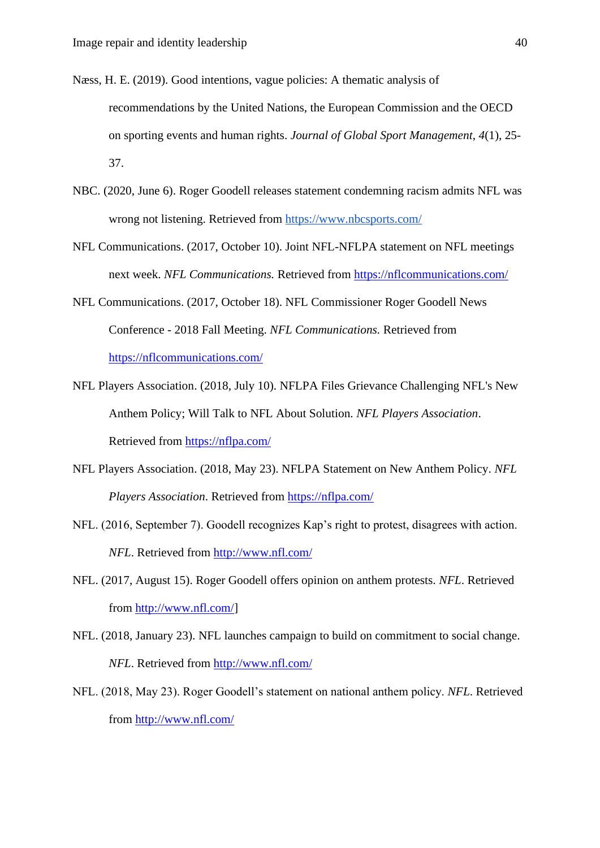- Næss, H. E. (2019). Good intentions, vague policies: A thematic analysis of recommendations by the United Nations, the European Commission and the OECD on sporting events and human rights. *Journal of Global Sport Management*, *4*(1), 25- 37.
- NBC. (2020, June 6). Roger Goodell releases statement condemning racism admits NFL was wrong not listening. Retrieved from <https://www.nbcsports.com/>
- NFL Communications. (2017, October 10). Joint NFL-NFLPA statement on NFL meetings next week. *NFL Communications.* Retrieved from<https://nflcommunications.com/>
- NFL Communications. (2017, October 18). NFL Commissioner Roger Goodell News Conference - 2018 Fall Meeting. *NFL Communications.* Retrieved from <https://nflcommunications.com/>
- NFL Players Association. (2018, July 10). NFLPA Files Grievance Challenging NFL's New Anthem Policy; Will Talk to NFL About Solution. *NFL Players Association*. Retrieved from<https://nflpa.com/>
- NFL Players Association. (2018, May 23). NFLPA Statement on New Anthem Policy. *NFL Players Association*. Retrieved from<https://nflpa.com/>
- NFL. (2016, September 7). Goodell recognizes Kap's right to protest, disagrees with action. *NFL*. Retrieved from<http://www.nfl.com/>
- NFL. (2017, August 15). Roger Goodell offers opinion on anthem protests. *NFL*. Retrieved from [http://www.nfl.com/\]](http://www.nfl.com/)
- NFL. (2018, January 23). NFL launches campaign to build on commitment to social change. *NFL*. Retrieved from<http://www.nfl.com/>
- NFL. (2018, May 23). Roger Goodell's statement on national anthem policy. *NFL*. Retrieved from<http://www.nfl.com/>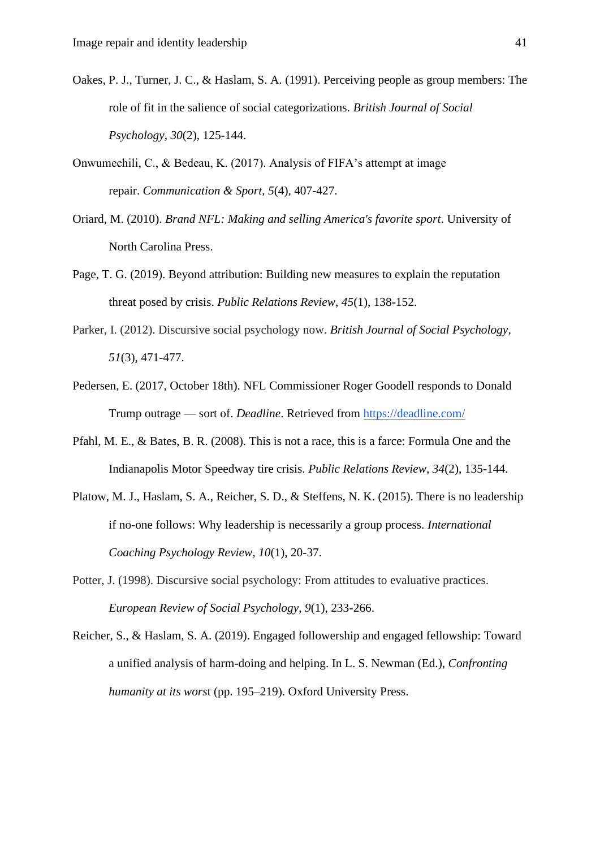- Oakes, P. J., Turner, J. C., & Haslam, S. A. (1991). Perceiving people as group members: The role of fit in the salience of social categorizations. *British Journal of Social Psychology*, *30*(2), 125-144.
- Onwumechili, C., & Bedeau, K. (2017). Analysis of FIFA's attempt at image repair. *Communication & Sport*, *5*(4), 407-427.
- Oriard, M. (2010). *Brand NFL: Making and selling America's favorite sport*. University of North Carolina Press.
- Page, T. G. (2019). Beyond attribution: Building new measures to explain the reputation threat posed by crisis. *Public Relations Review*, *45*(1), 138-152.
- Parker, I. (2012). Discursive social psychology now. *British Journal of Social Psychology*, *51*(3), 471-477.
- Pedersen, E. (2017, October 18th). NFL Commissioner Roger Goodell responds to Donald Trump outrage — sort of. *Deadline*. Retrieved from [https://deadline.com/](https://deadline.com/2017/10/roger-goodell-donald-trump-kneeling-protest-nfl-press-conference-1202190621/)
- Pfahl, M. E., & Bates, B. R. (2008). This is not a race, this is a farce: Formula One and the Indianapolis Motor Speedway tire crisis. *Public Relations Review*, *34*(2), 135-144.
- Platow, M. J., Haslam, S. A., Reicher, S. D., & Steffens, N. K. (2015). There is no leadership if no-one follows: Why leadership is necessarily a group process. *International Coaching Psychology Review*, *10*(1), 20-37.
- Potter, J. (1998). Discursive social psychology: From attitudes to evaluative practices. *European Review of Social Psychology*, *9*(1), 233-266.
- Reicher, S., & Haslam, S. A. (2019). Engaged followership and engaged fellowship: Toward a unified analysis of harm-doing and helping. In L. S. Newman (Ed.), *Confronting humanity at its wors*t (pp. 195–219). Oxford University Press.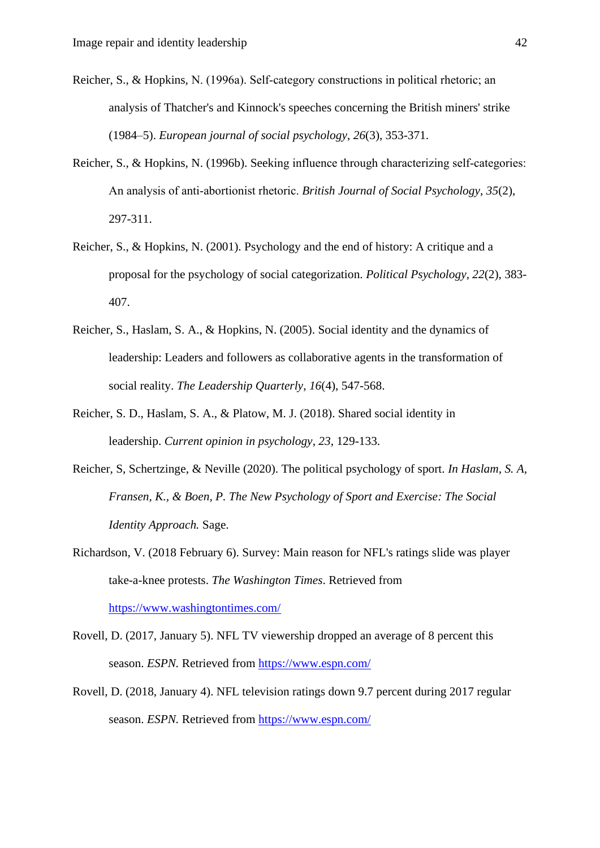- Reicher, S., & Hopkins, N. (1996a). Self-category constructions in political rhetoric; an analysis of Thatcher's and Kinnock's speeches concerning the British miners' strike (1984–5). *European journal of social psychology*, *26*(3), 353-371.
- Reicher, S., & Hopkins, N. (1996b). Seeking influence through characterizing self-categories: An analysis of anti‐abortionist rhetoric. *British Journal of Social Psychology*, *35*(2), 297-311.
- Reicher, S., & Hopkins, N. (2001). Psychology and the end of history: A critique and a proposal for the psychology of social categorization. *Political Psychology*, *22*(2), 383- 407.
- Reicher, S., Haslam, S. A., & Hopkins, N. (2005). Social identity and the dynamics of leadership: Leaders and followers as collaborative agents in the transformation of social reality. *The Leadership Quarterly*, *16*(4), 547-568.
- Reicher, S. D., Haslam, S. A., & Platow, M. J. (2018). Shared social identity in leadership. *Current opinion in psychology*, *23*, 129-133.
- Reicher, S, Schertzinge, & Neville (2020). The political psychology of sport. *In Haslam, S. A, Fransen, K., & Boen, P. The New Psychology of Sport and Exercise: The Social Identity Approach.* Sage.
- Richardson, V. (2018 February 6). Survey: Main reason for NFL's ratings slide was player take-a-knee protests. *The Washington Times*. Retrieved from <https://www.washingtontimes.com/>
- Rovell, D. (2017, January 5). NFL TV viewership dropped an average of 8 percent this season. *ESPN.* Retrieved from<https://www.espn.com/>
- Rovell, D. (2018, January 4). NFL television ratings down 9.7 percent during 2017 regular season. *ESPN.* Retrieved from<https://www.espn.com/>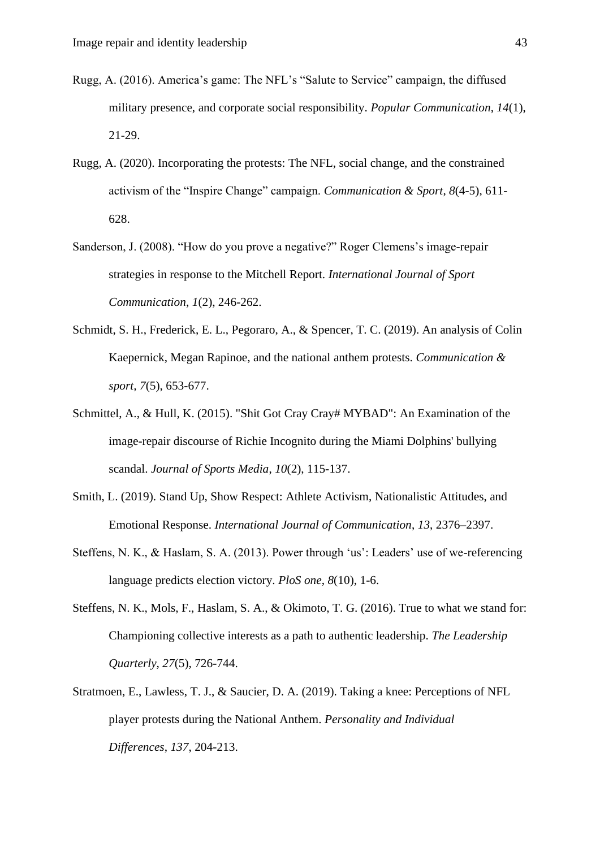- Rugg, A. (2016). America's game: The NFL's "Salute to Service" campaign, the diffused military presence, and corporate social responsibility. *Popular Communication*, *14*(1), 21-29.
- Rugg, A. (2020). Incorporating the protests: The NFL, social change, and the constrained activism of the "Inspire Change" campaign. *Communication & Sport*, *8*(4-5), 611- 628.
- Sanderson, J. (2008). "How do you prove a negative?" Roger Clemens's image-repair strategies in response to the Mitchell Report. *International Journal of Sport Communication*, *1*(2), 246-262.
- Schmidt, S. H., Frederick, E. L., Pegoraro, A., & Spencer, T. C. (2019). An analysis of Colin Kaepernick, Megan Rapinoe, and the national anthem protests. *Communication & sport, 7*(5), 653-677.
- Schmittel, A., & Hull, K. (2015). "Shit Got Cray Cray# MYBAD": An Examination of the image-repair discourse of Richie Incognito during the Miami Dolphins' bullying scandal. *Journal of Sports Media*, *10*(2), 115-137.
- Smith, L. (2019). Stand Up, Show Respect: Athlete Activism, Nationalistic Attitudes, and Emotional Response. *International Journal of Communication*, *13*, 2376–2397.
- Steffens, N. K., & Haslam, S. A. (2013). Power through 'us': Leaders' use of we-referencing language predicts election victory. *PloS one*, *8*(10), 1-6.
- Steffens, N. K., Mols, F., Haslam, S. A., & Okimoto, T. G. (2016). True to what we stand for: Championing collective interests as a path to authentic leadership. *The Leadership Quarterly*, *27*(5), 726-744.
- Stratmoen, E., Lawless, T. J., & Saucier, D. A. (2019). Taking a knee: Perceptions of NFL player protests during the National Anthem. *Personality and Individual Differences*, *137*, 204-213.